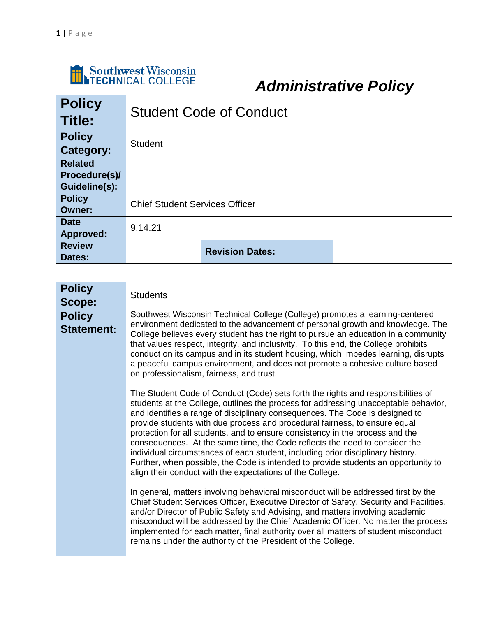| Southwest Wisconsin<br><b>Administrative Policy</b> |                                       |                                                                                                                                                                                                                                                                                                                                                                                                                                                                                                                                                                                                                                                                                                                                                                                                                                                                                                                                                                                                                                                                                                                                                                                                                                                                                                                                                                                                                                                                                                                                                                                                                                                                                                                                                                                                                          |  |
|-----------------------------------------------------|---------------------------------------|--------------------------------------------------------------------------------------------------------------------------------------------------------------------------------------------------------------------------------------------------------------------------------------------------------------------------------------------------------------------------------------------------------------------------------------------------------------------------------------------------------------------------------------------------------------------------------------------------------------------------------------------------------------------------------------------------------------------------------------------------------------------------------------------------------------------------------------------------------------------------------------------------------------------------------------------------------------------------------------------------------------------------------------------------------------------------------------------------------------------------------------------------------------------------------------------------------------------------------------------------------------------------------------------------------------------------------------------------------------------------------------------------------------------------------------------------------------------------------------------------------------------------------------------------------------------------------------------------------------------------------------------------------------------------------------------------------------------------------------------------------------------------------------------------------------------------|--|
| <b>Policy</b><br><b>Title:</b>                      |                                       | <b>Student Code of Conduct</b>                                                                                                                                                                                                                                                                                                                                                                                                                                                                                                                                                                                                                                                                                                                                                                                                                                                                                                                                                                                                                                                                                                                                                                                                                                                                                                                                                                                                                                                                                                                                                                                                                                                                                                                                                                                           |  |
| <b>Policy</b><br>Category:                          | <b>Student</b>                        |                                                                                                                                                                                                                                                                                                                                                                                                                                                                                                                                                                                                                                                                                                                                                                                                                                                                                                                                                                                                                                                                                                                                                                                                                                                                                                                                                                                                                                                                                                                                                                                                                                                                                                                                                                                                                          |  |
| <b>Related</b><br>Procedure(s)/<br>Guideline(s):    |                                       |                                                                                                                                                                                                                                                                                                                                                                                                                                                                                                                                                                                                                                                                                                                                                                                                                                                                                                                                                                                                                                                                                                                                                                                                                                                                                                                                                                                                                                                                                                                                                                                                                                                                                                                                                                                                                          |  |
| <b>Policy</b><br><b>Owner:</b>                      | <b>Chief Student Services Officer</b> |                                                                                                                                                                                                                                                                                                                                                                                                                                                                                                                                                                                                                                                                                                                                                                                                                                                                                                                                                                                                                                                                                                                                                                                                                                                                                                                                                                                                                                                                                                                                                                                                                                                                                                                                                                                                                          |  |
| <b>Date</b><br><b>Approved:</b>                     | 9.14.21                               |                                                                                                                                                                                                                                                                                                                                                                                                                                                                                                                                                                                                                                                                                                                                                                                                                                                                                                                                                                                                                                                                                                                                                                                                                                                                                                                                                                                                                                                                                                                                                                                                                                                                                                                                                                                                                          |  |
| <b>Review</b><br>Dates:                             |                                       | <b>Revision Dates:</b>                                                                                                                                                                                                                                                                                                                                                                                                                                                                                                                                                                                                                                                                                                                                                                                                                                                                                                                                                                                                                                                                                                                                                                                                                                                                                                                                                                                                                                                                                                                                                                                                                                                                                                                                                                                                   |  |
|                                                     |                                       |                                                                                                                                                                                                                                                                                                                                                                                                                                                                                                                                                                                                                                                                                                                                                                                                                                                                                                                                                                                                                                                                                                                                                                                                                                                                                                                                                                                                                                                                                                                                                                                                                                                                                                                                                                                                                          |  |
| <b>Policy</b><br>Scope:                             | <b>Students</b>                       |                                                                                                                                                                                                                                                                                                                                                                                                                                                                                                                                                                                                                                                                                                                                                                                                                                                                                                                                                                                                                                                                                                                                                                                                                                                                                                                                                                                                                                                                                                                                                                                                                                                                                                                                                                                                                          |  |
| <b>Policy</b><br><b>Statement:</b>                  |                                       | Southwest Wisconsin Technical College (College) promotes a learning-centered<br>environment dedicated to the advancement of personal growth and knowledge. The<br>College believes every student has the right to pursue an education in a community<br>that values respect, integrity, and inclusivity. To this end, the College prohibits<br>conduct on its campus and in its student housing, which impedes learning, disrupts<br>a peaceful campus environment, and does not promote a cohesive culture based<br>on professionalism, fairness, and trust.<br>The Student Code of Conduct (Code) sets forth the rights and responsibilities of<br>students at the College, outlines the process for addressing unacceptable behavior,<br>and identifies a range of disciplinary consequences. The Code is designed to<br>provide students with due process and procedural fairness, to ensure equal<br>protection for all students, and to ensure consistency in the process and the<br>consequences. At the same time, the Code reflects the need to consider the<br>individual circumstances of each student, including prior disciplinary history.<br>Further, when possible, the Code is intended to provide students an opportunity to<br>align their conduct with the expectations of the College.<br>In general, matters involving behavioral misconduct will be addressed first by the<br>Chief Student Services Officer, Executive Director of Safety, Security and Facilities,<br>and/or Director of Public Safety and Advising, and matters involving academic<br>misconduct will be addressed by the Chief Academic Officer. No matter the process<br>implemented for each matter, final authority over all matters of student misconduct<br>remains under the authority of the President of the College. |  |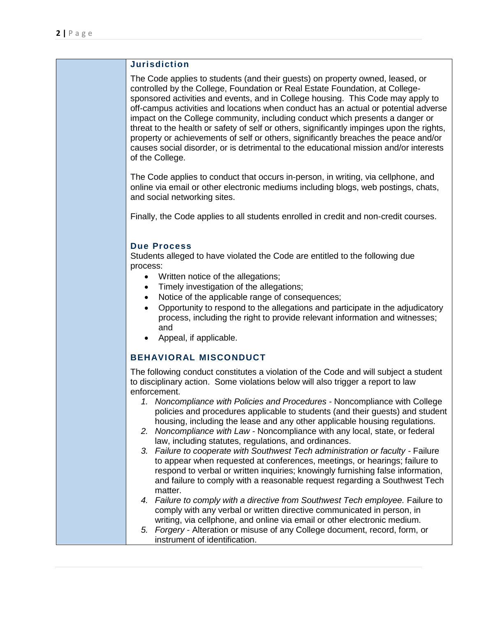## **Jurisdiction**

The Code applies to students (and their guests) on property owned, leased, or controlled by the College, Foundation or Real Estate Foundation, at Collegesponsored activities and events, and in College housing. This Code may apply to off-campus activities and locations when conduct has an actual or potential adverse impact on the College community, including conduct which presents a danger or threat to the health or safety of self or others, significantly impinges upon the rights, property or achievements of self or others, significantly breaches the peace and/or causes social disorder, or is detrimental to the educational mission and/or interests of the College.

The Code applies to conduct that occurs in-person, in writing, via cellphone, and online via email or other electronic mediums including blogs, web postings, chats, and social networking sites.

Finally, the Code applies to all students enrolled in credit and non-credit courses.

## **Due Process**

Students alleged to have violated the Code are entitled to the following due process:

- Written notice of the allegations;
- Timely investigation of the allegations;
- Notice of the applicable range of consequences;
- Opportunity to respond to the allegations and participate in the adjudicatory process, including the right to provide relevant information and witnesses; and
- Appeal, if applicable.

# **BEHAVIORAL MISCONDUCT**

The following conduct constitutes a violation of the Code and will subject a student to disciplinary action. Some violations below will also trigger a report to law enforcement.

- *1. Noncompliance with Policies and Procedures -* Noncompliance with College policies and procedures applicable to students (and their guests) and student housing, including the lease and any other applicable housing regulations.
- *2. Noncompliance with Law -* Noncompliance with any local, state, or federal law, including statutes, regulations, and ordinances.
- *3. Failure to cooperate with Southwest Tech administration or faculty -* Failure to appear when requested at conferences, meetings, or hearings; failure to respond to verbal or written inquiries; knowingly furnishing false information, and failure to comply with a reasonable request regarding a Southwest Tech matter.
- *4. Failure to comply with a directive from Southwest Tech employee.* Failure to comply with any verbal or written directive communicated in person, in writing, via cellphone, and online via email or other electronic medium.
- *5. Forgery* Alteration or misuse of any College document, record, form, or instrument of identification.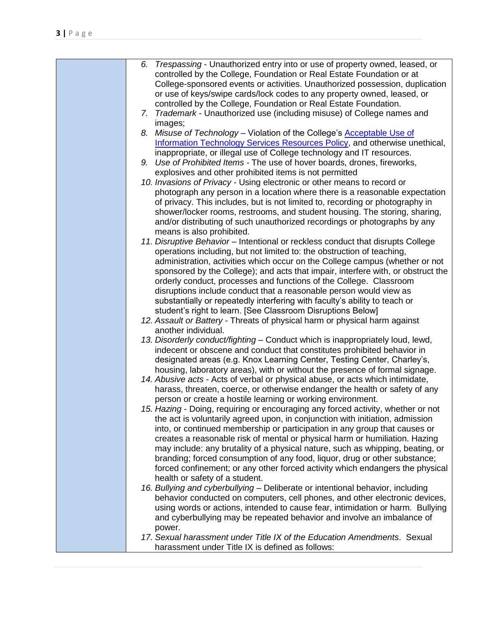| Trespassing - Unauthorized entry into or use of property owned, leased, or<br>6.                                                                              |
|---------------------------------------------------------------------------------------------------------------------------------------------------------------|
| controlled by the College, Foundation or Real Estate Foundation or at                                                                                         |
| College-sponsored events or activities. Unauthorized possession, duplication                                                                                  |
| or use of keys/swipe cards/lock codes to any property owned, leased, or                                                                                       |
| controlled by the College, Foundation or Real Estate Foundation.                                                                                              |
| 7. Trademark - Unauthorized use (including misuse) of College names and                                                                                       |
| images;                                                                                                                                                       |
| 8. Misuse of Technology - Violation of the College's Acceptable Use of                                                                                        |
| <b>Information Technology Services Resources Policy</b> , and otherwise unethical,                                                                            |
| inappropriate, or illegal use of College technology and IT resources.                                                                                         |
| 9. Use of Prohibited Items - The use of hover boards, drones, fireworks,                                                                                      |
| explosives and other prohibited items is not permitted                                                                                                        |
| 10. Invasions of Privacy - Using electronic or other means to record or                                                                                       |
| photograph any person in a location where there is a reasonable expectation                                                                                   |
| of privacy. This includes, but is not limited to, recording or photography in                                                                                 |
| shower/locker rooms, restrooms, and student housing. The storing, sharing,                                                                                    |
| and/or distributing of such unauthorized recordings or photographs by any<br>means is also prohibited.                                                        |
| 11. Disruptive Behavior - Intentional or reckless conduct that disrupts College                                                                               |
| operations including, but not limited to: the obstruction of teaching,                                                                                        |
| administration, activities which occur on the College campus (whether or not                                                                                  |
| sponsored by the College); and acts that impair, interfere with, or obstruct the                                                                              |
| orderly conduct, processes and functions of the College. Classroom                                                                                            |
| disruptions include conduct that a reasonable person would view as                                                                                            |
| substantially or repeatedly interfering with faculty's ability to teach or                                                                                    |
| student's right to learn. [See Classroom Disruptions Below]                                                                                                   |
| 12. Assault or Battery - Threats of physical harm or physical harm against                                                                                    |
| another individual.                                                                                                                                           |
| 13. Disorderly conduct/fighting - Conduct which is inappropriately loud, lewd,                                                                                |
| indecent or obscene and conduct that constitutes prohibited behavior in                                                                                       |
| designated areas (e.g. Knox Learning Center, Testing Center, Charley's,                                                                                       |
| housing, laboratory areas), with or without the presence of formal signage.                                                                                   |
| 14. Abusive acts - Acts of verbal or physical abuse, or acts which intimidate,                                                                                |
| harass, threaten, coerce, or otherwise endanger the health or safety of any                                                                                   |
| person or create a hostile learning or working environment.                                                                                                   |
| 15. Hazing - Doing, requiring or encouraging any forced activity, whether or not                                                                              |
| the act is voluntarily agreed upon, in conjunction with initiation, admission                                                                                 |
| into, or continued membership or participation in any group that causes or                                                                                    |
| creates a reasonable risk of mental or physical harm or humiliation. Hazing                                                                                   |
| may include: any brutality of a physical nature, such as whipping, beating, or                                                                                |
| branding; forced consumption of any food, liquor, drug or other substance;                                                                                    |
| forced confinement; or any other forced activity which endangers the physical                                                                                 |
| health or safety of a student.                                                                                                                                |
| 16. Bullying and cyberbullying - Deliberate or intentional behavior, including<br>behavior conducted on computers, cell phones, and other electronic devices, |
| using words or actions, intended to cause fear, intimidation or harm. Bullying                                                                                |
| and cyberbullying may be repeated behavior and involve an imbalance of                                                                                        |
| power.                                                                                                                                                        |
| 17. Sexual harassment under Title IX of the Education Amendments. Sexual                                                                                      |
| harassment under Title IX is defined as follows:                                                                                                              |
|                                                                                                                                                               |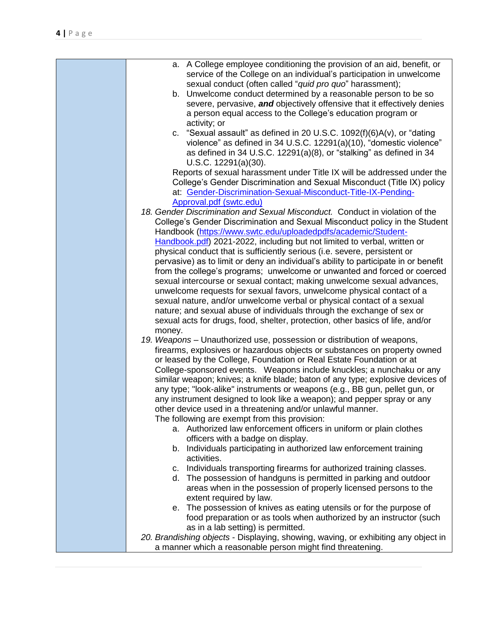| service of the College on an individual's participation in unwelcome<br>sexual conduct (often called "quid pro quo" harassment);<br>b. Unwelcome conduct determined by a reasonable person to be so<br>severe, pervasive, and objectively offensive that it effectively denies<br>a person equal access to the College's education program or<br>activity; or<br>c. "Sexual assault" as defined in 20 U.S.C. $1092(f)(6)A(v)$ , or "dating<br>violence" as defined in 34 U.S.C. 12291(a)(10), "domestic violence"<br>as defined in 34 U.S.C. 12291(a)(8), or "stalking" as defined in 34<br>U.S.C. 12291(a)(30).<br>Reports of sexual harassment under Title IX will be addressed under the<br>College's Gender Discrimination and Sexual Misconduct (Title IX) policy<br>at: Gender-Discrimination-Sexual-Misconduct-Title-IX-Pending-<br>Approval.pdf (swtc.edu)<br>18. Gender Discrimination and Sexual Misconduct. Conduct in violation of the<br>College's Gender Discrimination and Sexual Misconduct policy in the Student<br>Handbook (https://www.swtc.edu/uploadedpdfs/academic/Student-<br>Handbook.pdf) 2021-2022, including but not limited to verbal, written or<br>physical conduct that is sufficiently serious (i.e. severe, persistent or<br>pervasive) as to limit or deny an individual's ability to participate in or benefit<br>from the college's programs; unwelcome or unwanted and forced or coerced<br>sexual intercourse or sexual contact; making unwelcome sexual advances,<br>unwelcome requests for sexual favors, unwelcome physical contact of a<br>sexual nature, and/or unwelcome verbal or physical contact of a sexual<br>nature; and sexual abuse of individuals through the exchange of sex or<br>sexual acts for drugs, food, shelter, protection, other basics of life, and/or<br>money.<br>19. Weapons – Unauthorized use, possession or distribution of weapons,<br>firearms, explosives or hazardous objects or substances on property owned<br>or leased by the College, Foundation or Real Estate Foundation or at<br>College-sponsored events. Weapons include knuckles; a nunchaku or any<br>similar weapon; knives; a knife blade; baton of any type; explosive devices of<br>any type; "look-alike" instruments or weapons (e.g., BB gun, pellet gun, or<br>any instrument designed to look like a weapon); and pepper spray or any<br>other device used in a threatening and/or unlawful manner.<br>The following are exempt from this provision:<br>a. Authorized law enforcement officers in uniform or plain clothes<br>officers with a badge on display.<br>b. Individuals participating in authorized law enforcement training<br>activities.<br>c. Individuals transporting firearms for authorized training classes.<br>d. The possession of handguns is permitted in parking and outdoor<br>areas when in the possession of properly licensed persons to the<br>extent required by law.<br>e. The possession of knives as eating utensils or for the purpose of<br>food preparation or as tools when authorized by an instructor (such<br>as in a lab setting) is permitted.<br>20. Brandishing objects - Displaying, showing, waving, or exhibiting any object in<br>a manner which a reasonable person might find threatening. |                                                                         |
|----------------------------------------------------------------------------------------------------------------------------------------------------------------------------------------------------------------------------------------------------------------------------------------------------------------------------------------------------------------------------------------------------------------------------------------------------------------------------------------------------------------------------------------------------------------------------------------------------------------------------------------------------------------------------------------------------------------------------------------------------------------------------------------------------------------------------------------------------------------------------------------------------------------------------------------------------------------------------------------------------------------------------------------------------------------------------------------------------------------------------------------------------------------------------------------------------------------------------------------------------------------------------------------------------------------------------------------------------------------------------------------------------------------------------------------------------------------------------------------------------------------------------------------------------------------------------------------------------------------------------------------------------------------------------------------------------------------------------------------------------------------------------------------------------------------------------------------------------------------------------------------------------------------------------------------------------------------------------------------------------------------------------------------------------------------------------------------------------------------------------------------------------------------------------------------------------------------------------------------------------------------------------------------------------------------------------------------------------------------------------------------------------------------------------------------------------------------------------------------------------------------------------------------------------------------------------------------------------------------------------------------------------------------------------------------------------------------------------------------------------------------------------------------------------------------------------------------------------------------------------------------------------------------------------------------------------------------------------------------------------------------------------------------------------------------------------------------------------------------------------------------------------------------------------------------------------------------------------------------------------------------------------------------------|-------------------------------------------------------------------------|
|                                                                                                                                                                                                                                                                                                                                                                                                                                                                                                                                                                                                                                                                                                                                                                                                                                                                                                                                                                                                                                                                                                                                                                                                                                                                                                                                                                                                                                                                                                                                                                                                                                                                                                                                                                                                                                                                                                                                                                                                                                                                                                                                                                                                                                                                                                                                                                                                                                                                                                                                                                                                                                                                                                                                                                                                                                                                                                                                                                                                                                                                                                                                                                                                                                                                                              | a. A College employee conditioning the provision of an aid, benefit, or |
|                                                                                                                                                                                                                                                                                                                                                                                                                                                                                                                                                                                                                                                                                                                                                                                                                                                                                                                                                                                                                                                                                                                                                                                                                                                                                                                                                                                                                                                                                                                                                                                                                                                                                                                                                                                                                                                                                                                                                                                                                                                                                                                                                                                                                                                                                                                                                                                                                                                                                                                                                                                                                                                                                                                                                                                                                                                                                                                                                                                                                                                                                                                                                                                                                                                                                              |                                                                         |
|                                                                                                                                                                                                                                                                                                                                                                                                                                                                                                                                                                                                                                                                                                                                                                                                                                                                                                                                                                                                                                                                                                                                                                                                                                                                                                                                                                                                                                                                                                                                                                                                                                                                                                                                                                                                                                                                                                                                                                                                                                                                                                                                                                                                                                                                                                                                                                                                                                                                                                                                                                                                                                                                                                                                                                                                                                                                                                                                                                                                                                                                                                                                                                                                                                                                                              |                                                                         |
|                                                                                                                                                                                                                                                                                                                                                                                                                                                                                                                                                                                                                                                                                                                                                                                                                                                                                                                                                                                                                                                                                                                                                                                                                                                                                                                                                                                                                                                                                                                                                                                                                                                                                                                                                                                                                                                                                                                                                                                                                                                                                                                                                                                                                                                                                                                                                                                                                                                                                                                                                                                                                                                                                                                                                                                                                                                                                                                                                                                                                                                                                                                                                                                                                                                                                              |                                                                         |
|                                                                                                                                                                                                                                                                                                                                                                                                                                                                                                                                                                                                                                                                                                                                                                                                                                                                                                                                                                                                                                                                                                                                                                                                                                                                                                                                                                                                                                                                                                                                                                                                                                                                                                                                                                                                                                                                                                                                                                                                                                                                                                                                                                                                                                                                                                                                                                                                                                                                                                                                                                                                                                                                                                                                                                                                                                                                                                                                                                                                                                                                                                                                                                                                                                                                                              |                                                                         |
|                                                                                                                                                                                                                                                                                                                                                                                                                                                                                                                                                                                                                                                                                                                                                                                                                                                                                                                                                                                                                                                                                                                                                                                                                                                                                                                                                                                                                                                                                                                                                                                                                                                                                                                                                                                                                                                                                                                                                                                                                                                                                                                                                                                                                                                                                                                                                                                                                                                                                                                                                                                                                                                                                                                                                                                                                                                                                                                                                                                                                                                                                                                                                                                                                                                                                              |                                                                         |
|                                                                                                                                                                                                                                                                                                                                                                                                                                                                                                                                                                                                                                                                                                                                                                                                                                                                                                                                                                                                                                                                                                                                                                                                                                                                                                                                                                                                                                                                                                                                                                                                                                                                                                                                                                                                                                                                                                                                                                                                                                                                                                                                                                                                                                                                                                                                                                                                                                                                                                                                                                                                                                                                                                                                                                                                                                                                                                                                                                                                                                                                                                                                                                                                                                                                                              |                                                                         |
|                                                                                                                                                                                                                                                                                                                                                                                                                                                                                                                                                                                                                                                                                                                                                                                                                                                                                                                                                                                                                                                                                                                                                                                                                                                                                                                                                                                                                                                                                                                                                                                                                                                                                                                                                                                                                                                                                                                                                                                                                                                                                                                                                                                                                                                                                                                                                                                                                                                                                                                                                                                                                                                                                                                                                                                                                                                                                                                                                                                                                                                                                                                                                                                                                                                                                              |                                                                         |
|                                                                                                                                                                                                                                                                                                                                                                                                                                                                                                                                                                                                                                                                                                                                                                                                                                                                                                                                                                                                                                                                                                                                                                                                                                                                                                                                                                                                                                                                                                                                                                                                                                                                                                                                                                                                                                                                                                                                                                                                                                                                                                                                                                                                                                                                                                                                                                                                                                                                                                                                                                                                                                                                                                                                                                                                                                                                                                                                                                                                                                                                                                                                                                                                                                                                                              |                                                                         |
|                                                                                                                                                                                                                                                                                                                                                                                                                                                                                                                                                                                                                                                                                                                                                                                                                                                                                                                                                                                                                                                                                                                                                                                                                                                                                                                                                                                                                                                                                                                                                                                                                                                                                                                                                                                                                                                                                                                                                                                                                                                                                                                                                                                                                                                                                                                                                                                                                                                                                                                                                                                                                                                                                                                                                                                                                                                                                                                                                                                                                                                                                                                                                                                                                                                                                              |                                                                         |
|                                                                                                                                                                                                                                                                                                                                                                                                                                                                                                                                                                                                                                                                                                                                                                                                                                                                                                                                                                                                                                                                                                                                                                                                                                                                                                                                                                                                                                                                                                                                                                                                                                                                                                                                                                                                                                                                                                                                                                                                                                                                                                                                                                                                                                                                                                                                                                                                                                                                                                                                                                                                                                                                                                                                                                                                                                                                                                                                                                                                                                                                                                                                                                                                                                                                                              |                                                                         |
|                                                                                                                                                                                                                                                                                                                                                                                                                                                                                                                                                                                                                                                                                                                                                                                                                                                                                                                                                                                                                                                                                                                                                                                                                                                                                                                                                                                                                                                                                                                                                                                                                                                                                                                                                                                                                                                                                                                                                                                                                                                                                                                                                                                                                                                                                                                                                                                                                                                                                                                                                                                                                                                                                                                                                                                                                                                                                                                                                                                                                                                                                                                                                                                                                                                                                              |                                                                         |
|                                                                                                                                                                                                                                                                                                                                                                                                                                                                                                                                                                                                                                                                                                                                                                                                                                                                                                                                                                                                                                                                                                                                                                                                                                                                                                                                                                                                                                                                                                                                                                                                                                                                                                                                                                                                                                                                                                                                                                                                                                                                                                                                                                                                                                                                                                                                                                                                                                                                                                                                                                                                                                                                                                                                                                                                                                                                                                                                                                                                                                                                                                                                                                                                                                                                                              |                                                                         |
|                                                                                                                                                                                                                                                                                                                                                                                                                                                                                                                                                                                                                                                                                                                                                                                                                                                                                                                                                                                                                                                                                                                                                                                                                                                                                                                                                                                                                                                                                                                                                                                                                                                                                                                                                                                                                                                                                                                                                                                                                                                                                                                                                                                                                                                                                                                                                                                                                                                                                                                                                                                                                                                                                                                                                                                                                                                                                                                                                                                                                                                                                                                                                                                                                                                                                              |                                                                         |
|                                                                                                                                                                                                                                                                                                                                                                                                                                                                                                                                                                                                                                                                                                                                                                                                                                                                                                                                                                                                                                                                                                                                                                                                                                                                                                                                                                                                                                                                                                                                                                                                                                                                                                                                                                                                                                                                                                                                                                                                                                                                                                                                                                                                                                                                                                                                                                                                                                                                                                                                                                                                                                                                                                                                                                                                                                                                                                                                                                                                                                                                                                                                                                                                                                                                                              |                                                                         |
|                                                                                                                                                                                                                                                                                                                                                                                                                                                                                                                                                                                                                                                                                                                                                                                                                                                                                                                                                                                                                                                                                                                                                                                                                                                                                                                                                                                                                                                                                                                                                                                                                                                                                                                                                                                                                                                                                                                                                                                                                                                                                                                                                                                                                                                                                                                                                                                                                                                                                                                                                                                                                                                                                                                                                                                                                                                                                                                                                                                                                                                                                                                                                                                                                                                                                              |                                                                         |
|                                                                                                                                                                                                                                                                                                                                                                                                                                                                                                                                                                                                                                                                                                                                                                                                                                                                                                                                                                                                                                                                                                                                                                                                                                                                                                                                                                                                                                                                                                                                                                                                                                                                                                                                                                                                                                                                                                                                                                                                                                                                                                                                                                                                                                                                                                                                                                                                                                                                                                                                                                                                                                                                                                                                                                                                                                                                                                                                                                                                                                                                                                                                                                                                                                                                                              |                                                                         |
|                                                                                                                                                                                                                                                                                                                                                                                                                                                                                                                                                                                                                                                                                                                                                                                                                                                                                                                                                                                                                                                                                                                                                                                                                                                                                                                                                                                                                                                                                                                                                                                                                                                                                                                                                                                                                                                                                                                                                                                                                                                                                                                                                                                                                                                                                                                                                                                                                                                                                                                                                                                                                                                                                                                                                                                                                                                                                                                                                                                                                                                                                                                                                                                                                                                                                              |                                                                         |
|                                                                                                                                                                                                                                                                                                                                                                                                                                                                                                                                                                                                                                                                                                                                                                                                                                                                                                                                                                                                                                                                                                                                                                                                                                                                                                                                                                                                                                                                                                                                                                                                                                                                                                                                                                                                                                                                                                                                                                                                                                                                                                                                                                                                                                                                                                                                                                                                                                                                                                                                                                                                                                                                                                                                                                                                                                                                                                                                                                                                                                                                                                                                                                                                                                                                                              |                                                                         |
|                                                                                                                                                                                                                                                                                                                                                                                                                                                                                                                                                                                                                                                                                                                                                                                                                                                                                                                                                                                                                                                                                                                                                                                                                                                                                                                                                                                                                                                                                                                                                                                                                                                                                                                                                                                                                                                                                                                                                                                                                                                                                                                                                                                                                                                                                                                                                                                                                                                                                                                                                                                                                                                                                                                                                                                                                                                                                                                                                                                                                                                                                                                                                                                                                                                                                              |                                                                         |
|                                                                                                                                                                                                                                                                                                                                                                                                                                                                                                                                                                                                                                                                                                                                                                                                                                                                                                                                                                                                                                                                                                                                                                                                                                                                                                                                                                                                                                                                                                                                                                                                                                                                                                                                                                                                                                                                                                                                                                                                                                                                                                                                                                                                                                                                                                                                                                                                                                                                                                                                                                                                                                                                                                                                                                                                                                                                                                                                                                                                                                                                                                                                                                                                                                                                                              |                                                                         |
|                                                                                                                                                                                                                                                                                                                                                                                                                                                                                                                                                                                                                                                                                                                                                                                                                                                                                                                                                                                                                                                                                                                                                                                                                                                                                                                                                                                                                                                                                                                                                                                                                                                                                                                                                                                                                                                                                                                                                                                                                                                                                                                                                                                                                                                                                                                                                                                                                                                                                                                                                                                                                                                                                                                                                                                                                                                                                                                                                                                                                                                                                                                                                                                                                                                                                              |                                                                         |
|                                                                                                                                                                                                                                                                                                                                                                                                                                                                                                                                                                                                                                                                                                                                                                                                                                                                                                                                                                                                                                                                                                                                                                                                                                                                                                                                                                                                                                                                                                                                                                                                                                                                                                                                                                                                                                                                                                                                                                                                                                                                                                                                                                                                                                                                                                                                                                                                                                                                                                                                                                                                                                                                                                                                                                                                                                                                                                                                                                                                                                                                                                                                                                                                                                                                                              |                                                                         |
|                                                                                                                                                                                                                                                                                                                                                                                                                                                                                                                                                                                                                                                                                                                                                                                                                                                                                                                                                                                                                                                                                                                                                                                                                                                                                                                                                                                                                                                                                                                                                                                                                                                                                                                                                                                                                                                                                                                                                                                                                                                                                                                                                                                                                                                                                                                                                                                                                                                                                                                                                                                                                                                                                                                                                                                                                                                                                                                                                                                                                                                                                                                                                                                                                                                                                              |                                                                         |
|                                                                                                                                                                                                                                                                                                                                                                                                                                                                                                                                                                                                                                                                                                                                                                                                                                                                                                                                                                                                                                                                                                                                                                                                                                                                                                                                                                                                                                                                                                                                                                                                                                                                                                                                                                                                                                                                                                                                                                                                                                                                                                                                                                                                                                                                                                                                                                                                                                                                                                                                                                                                                                                                                                                                                                                                                                                                                                                                                                                                                                                                                                                                                                                                                                                                                              |                                                                         |
|                                                                                                                                                                                                                                                                                                                                                                                                                                                                                                                                                                                                                                                                                                                                                                                                                                                                                                                                                                                                                                                                                                                                                                                                                                                                                                                                                                                                                                                                                                                                                                                                                                                                                                                                                                                                                                                                                                                                                                                                                                                                                                                                                                                                                                                                                                                                                                                                                                                                                                                                                                                                                                                                                                                                                                                                                                                                                                                                                                                                                                                                                                                                                                                                                                                                                              |                                                                         |
|                                                                                                                                                                                                                                                                                                                                                                                                                                                                                                                                                                                                                                                                                                                                                                                                                                                                                                                                                                                                                                                                                                                                                                                                                                                                                                                                                                                                                                                                                                                                                                                                                                                                                                                                                                                                                                                                                                                                                                                                                                                                                                                                                                                                                                                                                                                                                                                                                                                                                                                                                                                                                                                                                                                                                                                                                                                                                                                                                                                                                                                                                                                                                                                                                                                                                              |                                                                         |
|                                                                                                                                                                                                                                                                                                                                                                                                                                                                                                                                                                                                                                                                                                                                                                                                                                                                                                                                                                                                                                                                                                                                                                                                                                                                                                                                                                                                                                                                                                                                                                                                                                                                                                                                                                                                                                                                                                                                                                                                                                                                                                                                                                                                                                                                                                                                                                                                                                                                                                                                                                                                                                                                                                                                                                                                                                                                                                                                                                                                                                                                                                                                                                                                                                                                                              |                                                                         |
|                                                                                                                                                                                                                                                                                                                                                                                                                                                                                                                                                                                                                                                                                                                                                                                                                                                                                                                                                                                                                                                                                                                                                                                                                                                                                                                                                                                                                                                                                                                                                                                                                                                                                                                                                                                                                                                                                                                                                                                                                                                                                                                                                                                                                                                                                                                                                                                                                                                                                                                                                                                                                                                                                                                                                                                                                                                                                                                                                                                                                                                                                                                                                                                                                                                                                              |                                                                         |
|                                                                                                                                                                                                                                                                                                                                                                                                                                                                                                                                                                                                                                                                                                                                                                                                                                                                                                                                                                                                                                                                                                                                                                                                                                                                                                                                                                                                                                                                                                                                                                                                                                                                                                                                                                                                                                                                                                                                                                                                                                                                                                                                                                                                                                                                                                                                                                                                                                                                                                                                                                                                                                                                                                                                                                                                                                                                                                                                                                                                                                                                                                                                                                                                                                                                                              |                                                                         |
|                                                                                                                                                                                                                                                                                                                                                                                                                                                                                                                                                                                                                                                                                                                                                                                                                                                                                                                                                                                                                                                                                                                                                                                                                                                                                                                                                                                                                                                                                                                                                                                                                                                                                                                                                                                                                                                                                                                                                                                                                                                                                                                                                                                                                                                                                                                                                                                                                                                                                                                                                                                                                                                                                                                                                                                                                                                                                                                                                                                                                                                                                                                                                                                                                                                                                              |                                                                         |
|                                                                                                                                                                                                                                                                                                                                                                                                                                                                                                                                                                                                                                                                                                                                                                                                                                                                                                                                                                                                                                                                                                                                                                                                                                                                                                                                                                                                                                                                                                                                                                                                                                                                                                                                                                                                                                                                                                                                                                                                                                                                                                                                                                                                                                                                                                                                                                                                                                                                                                                                                                                                                                                                                                                                                                                                                                                                                                                                                                                                                                                                                                                                                                                                                                                                                              |                                                                         |
|                                                                                                                                                                                                                                                                                                                                                                                                                                                                                                                                                                                                                                                                                                                                                                                                                                                                                                                                                                                                                                                                                                                                                                                                                                                                                                                                                                                                                                                                                                                                                                                                                                                                                                                                                                                                                                                                                                                                                                                                                                                                                                                                                                                                                                                                                                                                                                                                                                                                                                                                                                                                                                                                                                                                                                                                                                                                                                                                                                                                                                                                                                                                                                                                                                                                                              |                                                                         |
|                                                                                                                                                                                                                                                                                                                                                                                                                                                                                                                                                                                                                                                                                                                                                                                                                                                                                                                                                                                                                                                                                                                                                                                                                                                                                                                                                                                                                                                                                                                                                                                                                                                                                                                                                                                                                                                                                                                                                                                                                                                                                                                                                                                                                                                                                                                                                                                                                                                                                                                                                                                                                                                                                                                                                                                                                                                                                                                                                                                                                                                                                                                                                                                                                                                                                              |                                                                         |
|                                                                                                                                                                                                                                                                                                                                                                                                                                                                                                                                                                                                                                                                                                                                                                                                                                                                                                                                                                                                                                                                                                                                                                                                                                                                                                                                                                                                                                                                                                                                                                                                                                                                                                                                                                                                                                                                                                                                                                                                                                                                                                                                                                                                                                                                                                                                                                                                                                                                                                                                                                                                                                                                                                                                                                                                                                                                                                                                                                                                                                                                                                                                                                                                                                                                                              |                                                                         |
|                                                                                                                                                                                                                                                                                                                                                                                                                                                                                                                                                                                                                                                                                                                                                                                                                                                                                                                                                                                                                                                                                                                                                                                                                                                                                                                                                                                                                                                                                                                                                                                                                                                                                                                                                                                                                                                                                                                                                                                                                                                                                                                                                                                                                                                                                                                                                                                                                                                                                                                                                                                                                                                                                                                                                                                                                                                                                                                                                                                                                                                                                                                                                                                                                                                                                              |                                                                         |
|                                                                                                                                                                                                                                                                                                                                                                                                                                                                                                                                                                                                                                                                                                                                                                                                                                                                                                                                                                                                                                                                                                                                                                                                                                                                                                                                                                                                                                                                                                                                                                                                                                                                                                                                                                                                                                                                                                                                                                                                                                                                                                                                                                                                                                                                                                                                                                                                                                                                                                                                                                                                                                                                                                                                                                                                                                                                                                                                                                                                                                                                                                                                                                                                                                                                                              |                                                                         |
|                                                                                                                                                                                                                                                                                                                                                                                                                                                                                                                                                                                                                                                                                                                                                                                                                                                                                                                                                                                                                                                                                                                                                                                                                                                                                                                                                                                                                                                                                                                                                                                                                                                                                                                                                                                                                                                                                                                                                                                                                                                                                                                                                                                                                                                                                                                                                                                                                                                                                                                                                                                                                                                                                                                                                                                                                                                                                                                                                                                                                                                                                                                                                                                                                                                                                              |                                                                         |
|                                                                                                                                                                                                                                                                                                                                                                                                                                                                                                                                                                                                                                                                                                                                                                                                                                                                                                                                                                                                                                                                                                                                                                                                                                                                                                                                                                                                                                                                                                                                                                                                                                                                                                                                                                                                                                                                                                                                                                                                                                                                                                                                                                                                                                                                                                                                                                                                                                                                                                                                                                                                                                                                                                                                                                                                                                                                                                                                                                                                                                                                                                                                                                                                                                                                                              |                                                                         |
|                                                                                                                                                                                                                                                                                                                                                                                                                                                                                                                                                                                                                                                                                                                                                                                                                                                                                                                                                                                                                                                                                                                                                                                                                                                                                                                                                                                                                                                                                                                                                                                                                                                                                                                                                                                                                                                                                                                                                                                                                                                                                                                                                                                                                                                                                                                                                                                                                                                                                                                                                                                                                                                                                                                                                                                                                                                                                                                                                                                                                                                                                                                                                                                                                                                                                              |                                                                         |
|                                                                                                                                                                                                                                                                                                                                                                                                                                                                                                                                                                                                                                                                                                                                                                                                                                                                                                                                                                                                                                                                                                                                                                                                                                                                                                                                                                                                                                                                                                                                                                                                                                                                                                                                                                                                                                                                                                                                                                                                                                                                                                                                                                                                                                                                                                                                                                                                                                                                                                                                                                                                                                                                                                                                                                                                                                                                                                                                                                                                                                                                                                                                                                                                                                                                                              |                                                                         |
|                                                                                                                                                                                                                                                                                                                                                                                                                                                                                                                                                                                                                                                                                                                                                                                                                                                                                                                                                                                                                                                                                                                                                                                                                                                                                                                                                                                                                                                                                                                                                                                                                                                                                                                                                                                                                                                                                                                                                                                                                                                                                                                                                                                                                                                                                                                                                                                                                                                                                                                                                                                                                                                                                                                                                                                                                                                                                                                                                                                                                                                                                                                                                                                                                                                                                              |                                                                         |
|                                                                                                                                                                                                                                                                                                                                                                                                                                                                                                                                                                                                                                                                                                                                                                                                                                                                                                                                                                                                                                                                                                                                                                                                                                                                                                                                                                                                                                                                                                                                                                                                                                                                                                                                                                                                                                                                                                                                                                                                                                                                                                                                                                                                                                                                                                                                                                                                                                                                                                                                                                                                                                                                                                                                                                                                                                                                                                                                                                                                                                                                                                                                                                                                                                                                                              |                                                                         |
|                                                                                                                                                                                                                                                                                                                                                                                                                                                                                                                                                                                                                                                                                                                                                                                                                                                                                                                                                                                                                                                                                                                                                                                                                                                                                                                                                                                                                                                                                                                                                                                                                                                                                                                                                                                                                                                                                                                                                                                                                                                                                                                                                                                                                                                                                                                                                                                                                                                                                                                                                                                                                                                                                                                                                                                                                                                                                                                                                                                                                                                                                                                                                                                                                                                                                              |                                                                         |
|                                                                                                                                                                                                                                                                                                                                                                                                                                                                                                                                                                                                                                                                                                                                                                                                                                                                                                                                                                                                                                                                                                                                                                                                                                                                                                                                                                                                                                                                                                                                                                                                                                                                                                                                                                                                                                                                                                                                                                                                                                                                                                                                                                                                                                                                                                                                                                                                                                                                                                                                                                                                                                                                                                                                                                                                                                                                                                                                                                                                                                                                                                                                                                                                                                                                                              |                                                                         |
|                                                                                                                                                                                                                                                                                                                                                                                                                                                                                                                                                                                                                                                                                                                                                                                                                                                                                                                                                                                                                                                                                                                                                                                                                                                                                                                                                                                                                                                                                                                                                                                                                                                                                                                                                                                                                                                                                                                                                                                                                                                                                                                                                                                                                                                                                                                                                                                                                                                                                                                                                                                                                                                                                                                                                                                                                                                                                                                                                                                                                                                                                                                                                                                                                                                                                              |                                                                         |
|                                                                                                                                                                                                                                                                                                                                                                                                                                                                                                                                                                                                                                                                                                                                                                                                                                                                                                                                                                                                                                                                                                                                                                                                                                                                                                                                                                                                                                                                                                                                                                                                                                                                                                                                                                                                                                                                                                                                                                                                                                                                                                                                                                                                                                                                                                                                                                                                                                                                                                                                                                                                                                                                                                                                                                                                                                                                                                                                                                                                                                                                                                                                                                                                                                                                                              |                                                                         |
|                                                                                                                                                                                                                                                                                                                                                                                                                                                                                                                                                                                                                                                                                                                                                                                                                                                                                                                                                                                                                                                                                                                                                                                                                                                                                                                                                                                                                                                                                                                                                                                                                                                                                                                                                                                                                                                                                                                                                                                                                                                                                                                                                                                                                                                                                                                                                                                                                                                                                                                                                                                                                                                                                                                                                                                                                                                                                                                                                                                                                                                                                                                                                                                                                                                                                              |                                                                         |
|                                                                                                                                                                                                                                                                                                                                                                                                                                                                                                                                                                                                                                                                                                                                                                                                                                                                                                                                                                                                                                                                                                                                                                                                                                                                                                                                                                                                                                                                                                                                                                                                                                                                                                                                                                                                                                                                                                                                                                                                                                                                                                                                                                                                                                                                                                                                                                                                                                                                                                                                                                                                                                                                                                                                                                                                                                                                                                                                                                                                                                                                                                                                                                                                                                                                                              |                                                                         |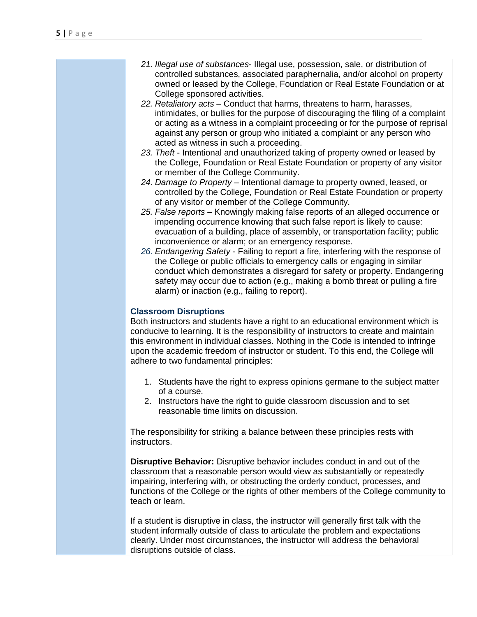| 21. Illegal use of substances- Illegal use, possession, sale, or distribution of<br>controlled substances, associated paraphernalia, and/or alcohol on property<br>owned or leased by the College, Foundation or Real Estate Foundation or at<br>College sponsored activities.                                                                                                                                                  |
|---------------------------------------------------------------------------------------------------------------------------------------------------------------------------------------------------------------------------------------------------------------------------------------------------------------------------------------------------------------------------------------------------------------------------------|
| 22. Retaliatory acts - Conduct that harms, threatens to harm, harasses,<br>intimidates, or bullies for the purpose of discouraging the filing of a complaint<br>or acting as a witness in a complaint proceeding or for the purpose of reprisal<br>against any person or group who initiated a complaint or any person who<br>acted as witness in such a proceeding.                                                            |
| 23. Theft - Intentional and unauthorized taking of property owned or leased by<br>the College, Foundation or Real Estate Foundation or property of any visitor<br>or member of the College Community.                                                                                                                                                                                                                           |
| 24. Damage to Property - Intentional damage to property owned, leased, or<br>controlled by the College, Foundation or Real Estate Foundation or property<br>of any visitor or member of the College Community.                                                                                                                                                                                                                  |
| 25. False reports - Knowingly making false reports of an alleged occurrence or<br>impending occurrence knowing that such false report is likely to cause:<br>evacuation of a building, place of assembly, or transportation facility; public<br>inconvenience or alarm; or an emergency response.                                                                                                                               |
| 26. Endangering Safety - Failing to report a fire, interfering with the response of<br>the College or public officials to emergency calls or engaging in similar<br>conduct which demonstrates a disregard for safety or property. Endangering<br>safety may occur due to action (e.g., making a bomb threat or pulling a fire<br>alarm) or inaction (e.g., failing to report).                                                 |
| <b>Classroom Disruptions</b><br>Both instructors and students have a right to an educational environment which is<br>conducive to learning. It is the responsibility of instructors to create and maintain<br>this environment in individual classes. Nothing in the Code is intended to infringe<br>upon the academic freedom of instructor or student. To this end, the College will<br>adhere to two fundamental principles: |
| 1. Students have the right to express opinions germane to the subject matter<br>of a course.<br>2. Instructors have the right to guide classroom discussion and to set<br>reasonable time limits on discussion.                                                                                                                                                                                                                 |
| The responsibility for striking a balance between these principles rests with<br>instructors.                                                                                                                                                                                                                                                                                                                                   |
| Disruptive Behavior: Disruptive behavior includes conduct in and out of the<br>classroom that a reasonable person would view as substantially or repeatedly<br>impairing, interfering with, or obstructing the orderly conduct, processes, and<br>functions of the College or the rights of other members of the College community to<br>teach or learn.                                                                        |
| If a student is disruptive in class, the instructor will generally first talk with the<br>student informally outside of class to articulate the problem and expectations<br>clearly. Under most circumstances, the instructor will address the behavioral<br>disruptions outside of class.                                                                                                                                      |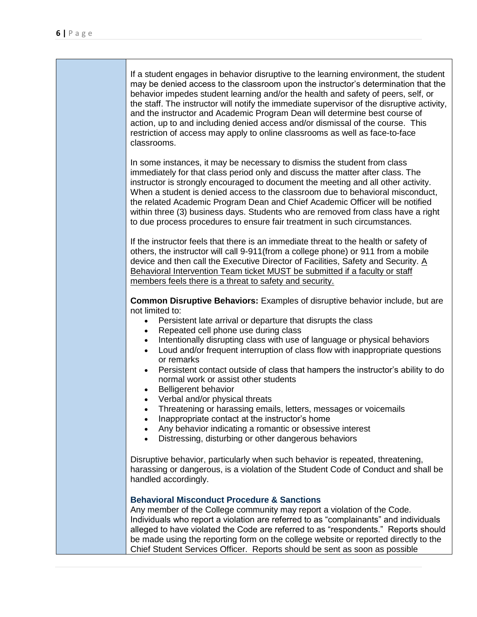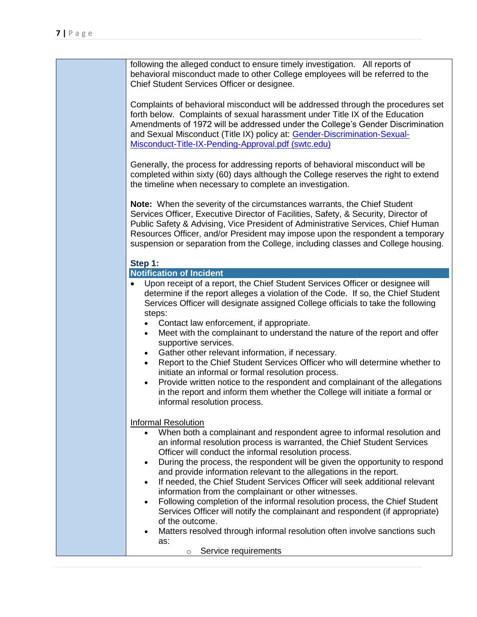| Complaints of behavioral misconduct will be addressed through the procedures set<br>forth below. Complaints of sexual harassment under Title IX of the Education<br>Amendments of 1972 will be addressed under the College's Gender Discrimination<br>and Sexual Misconduct (Title IX) policy at: Gender-Discrimination-Sexual-<br>Misconduct-Title-IX-Pending-Approval.pdf (swtc.edu)<br>Generally, the process for addressing reports of behavioral misconduct will be<br>completed within sixty (60) days although the College reserves the right to extend<br>the timeline when necessary to complete an investigation.<br>Note: When the severity of the circumstances warrants, the Chief Student<br>Services Officer, Executive Director of Facilities, Safety, & Security, Director of<br>Public Safety & Advising, Vice President of Administrative Services, Chief Human<br>Resources Officer, and/or President may impose upon the respondent a temporary<br>suspension or separation from the College, including classes and College housing.<br>Step 1:<br><b>Notification of Incident</b><br>Upon receipt of a report, the Chief Student Services Officer or designee will<br>determine if the report alleges a violation of the Code. If so, the Chief Student<br>Services Officer will designate assigned College officials to take the following<br>steps:<br>Contact law enforcement, if appropriate.<br>Meet with the complainant to understand the nature of the report and offer<br>$\bullet$<br>supportive services.<br>Gather other relevant information, if necessary.<br>Report to the Chief Student Services Officer who will determine whether to<br>$\bullet$<br>initiate an informal or formal resolution process.<br>Provide written notice to the respondent and complainant of the allegations<br>$\bullet$<br>in the report and inform them whether the College will initiate a formal or<br>informal resolution process.<br><b>Informal Resolution</b><br>When both a complainant and respondent agree to informal resolution and<br>an informal resolution process is warranted, the Chief Student Services<br>Officer will conduct the informal resolution process.<br>During the process, the respondent will be given the opportunity to respond<br>$\bullet$<br>and provide information relevant to the allegations in the report.<br>If needed, the Chief Student Services Officer will seek additional relevant<br>$\bullet$<br>information from the complainant or other witnesses.<br>Following completion of the informal resolution process, the Chief Student<br>$\bullet$<br>Services Officer will notify the complainant and respondent (if appropriate)<br>of the outcome.<br>Matters resolved through informal resolution often involve sanctions such<br>$\bullet$<br>as:<br>Service requirements<br>$\circ$ | following the alleged conduct to ensure timely investigation. All reports of<br>behavioral misconduct made to other College employees will be referred to the<br>Chief Student Services Officer or designee. |
|-----------------------------------------------------------------------------------------------------------------------------------------------------------------------------------------------------------------------------------------------------------------------------------------------------------------------------------------------------------------------------------------------------------------------------------------------------------------------------------------------------------------------------------------------------------------------------------------------------------------------------------------------------------------------------------------------------------------------------------------------------------------------------------------------------------------------------------------------------------------------------------------------------------------------------------------------------------------------------------------------------------------------------------------------------------------------------------------------------------------------------------------------------------------------------------------------------------------------------------------------------------------------------------------------------------------------------------------------------------------------------------------------------------------------------------------------------------------------------------------------------------------------------------------------------------------------------------------------------------------------------------------------------------------------------------------------------------------------------------------------------------------------------------------------------------------------------------------------------------------------------------------------------------------------------------------------------------------------------------------------------------------------------------------------------------------------------------------------------------------------------------------------------------------------------------------------------------------------------------------------------------------------------------------------------------------------------------------------------------------------------------------------------------------------------------------------------------------------------------------------------------------------------------------------------------------------------------------------------------------------------------------------------------------------------------------------------------------------------------------------------------------------------------------------------------------------------------------------------------------|--------------------------------------------------------------------------------------------------------------------------------------------------------------------------------------------------------------|
|                                                                                                                                                                                                                                                                                                                                                                                                                                                                                                                                                                                                                                                                                                                                                                                                                                                                                                                                                                                                                                                                                                                                                                                                                                                                                                                                                                                                                                                                                                                                                                                                                                                                                                                                                                                                                                                                                                                                                                                                                                                                                                                                                                                                                                                                                                                                                                                                                                                                                                                                                                                                                                                                                                                                                                                                                                                                 |                                                                                                                                                                                                              |
|                                                                                                                                                                                                                                                                                                                                                                                                                                                                                                                                                                                                                                                                                                                                                                                                                                                                                                                                                                                                                                                                                                                                                                                                                                                                                                                                                                                                                                                                                                                                                                                                                                                                                                                                                                                                                                                                                                                                                                                                                                                                                                                                                                                                                                                                                                                                                                                                                                                                                                                                                                                                                                                                                                                                                                                                                                                                 |                                                                                                                                                                                                              |
|                                                                                                                                                                                                                                                                                                                                                                                                                                                                                                                                                                                                                                                                                                                                                                                                                                                                                                                                                                                                                                                                                                                                                                                                                                                                                                                                                                                                                                                                                                                                                                                                                                                                                                                                                                                                                                                                                                                                                                                                                                                                                                                                                                                                                                                                                                                                                                                                                                                                                                                                                                                                                                                                                                                                                                                                                                                                 |                                                                                                                                                                                                              |
|                                                                                                                                                                                                                                                                                                                                                                                                                                                                                                                                                                                                                                                                                                                                                                                                                                                                                                                                                                                                                                                                                                                                                                                                                                                                                                                                                                                                                                                                                                                                                                                                                                                                                                                                                                                                                                                                                                                                                                                                                                                                                                                                                                                                                                                                                                                                                                                                                                                                                                                                                                                                                                                                                                                                                                                                                                                                 |                                                                                                                                                                                                              |
|                                                                                                                                                                                                                                                                                                                                                                                                                                                                                                                                                                                                                                                                                                                                                                                                                                                                                                                                                                                                                                                                                                                                                                                                                                                                                                                                                                                                                                                                                                                                                                                                                                                                                                                                                                                                                                                                                                                                                                                                                                                                                                                                                                                                                                                                                                                                                                                                                                                                                                                                                                                                                                                                                                                                                                                                                                                                 |                                                                                                                                                                                                              |
|                                                                                                                                                                                                                                                                                                                                                                                                                                                                                                                                                                                                                                                                                                                                                                                                                                                                                                                                                                                                                                                                                                                                                                                                                                                                                                                                                                                                                                                                                                                                                                                                                                                                                                                                                                                                                                                                                                                                                                                                                                                                                                                                                                                                                                                                                                                                                                                                                                                                                                                                                                                                                                                                                                                                                                                                                                                                 |                                                                                                                                                                                                              |
|                                                                                                                                                                                                                                                                                                                                                                                                                                                                                                                                                                                                                                                                                                                                                                                                                                                                                                                                                                                                                                                                                                                                                                                                                                                                                                                                                                                                                                                                                                                                                                                                                                                                                                                                                                                                                                                                                                                                                                                                                                                                                                                                                                                                                                                                                                                                                                                                                                                                                                                                                                                                                                                                                                                                                                                                                                                                 |                                                                                                                                                                                                              |
|                                                                                                                                                                                                                                                                                                                                                                                                                                                                                                                                                                                                                                                                                                                                                                                                                                                                                                                                                                                                                                                                                                                                                                                                                                                                                                                                                                                                                                                                                                                                                                                                                                                                                                                                                                                                                                                                                                                                                                                                                                                                                                                                                                                                                                                                                                                                                                                                                                                                                                                                                                                                                                                                                                                                                                                                                                                                 |                                                                                                                                                                                                              |
|                                                                                                                                                                                                                                                                                                                                                                                                                                                                                                                                                                                                                                                                                                                                                                                                                                                                                                                                                                                                                                                                                                                                                                                                                                                                                                                                                                                                                                                                                                                                                                                                                                                                                                                                                                                                                                                                                                                                                                                                                                                                                                                                                                                                                                                                                                                                                                                                                                                                                                                                                                                                                                                                                                                                                                                                                                                                 |                                                                                                                                                                                                              |
|                                                                                                                                                                                                                                                                                                                                                                                                                                                                                                                                                                                                                                                                                                                                                                                                                                                                                                                                                                                                                                                                                                                                                                                                                                                                                                                                                                                                                                                                                                                                                                                                                                                                                                                                                                                                                                                                                                                                                                                                                                                                                                                                                                                                                                                                                                                                                                                                                                                                                                                                                                                                                                                                                                                                                                                                                                                                 |                                                                                                                                                                                                              |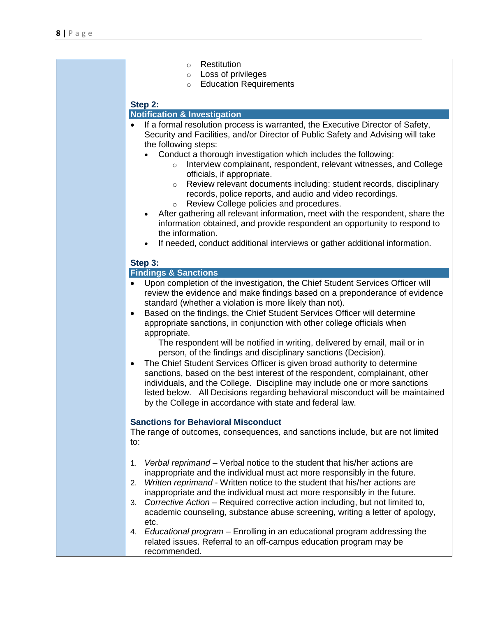| Restitution<br>$\circ$<br>Loss of privileges<br>$\circ$                                                                                                                                                                                                                                                                                                                                                                                                                                                                                                                                                                                                                                                                                                                                                                                                                                                                                                                                                                                                                                                             |
|---------------------------------------------------------------------------------------------------------------------------------------------------------------------------------------------------------------------------------------------------------------------------------------------------------------------------------------------------------------------------------------------------------------------------------------------------------------------------------------------------------------------------------------------------------------------------------------------------------------------------------------------------------------------------------------------------------------------------------------------------------------------------------------------------------------------------------------------------------------------------------------------------------------------------------------------------------------------------------------------------------------------------------------------------------------------------------------------------------------------|
| <b>Education Requirements</b><br>$\circ$                                                                                                                                                                                                                                                                                                                                                                                                                                                                                                                                                                                                                                                                                                                                                                                                                                                                                                                                                                                                                                                                            |
| Step 2:<br><b>Notification &amp; Investigation</b>                                                                                                                                                                                                                                                                                                                                                                                                                                                                                                                                                                                                                                                                                                                                                                                                                                                                                                                                                                                                                                                                  |
| If a formal resolution process is warranted, the Executive Director of Safety,<br>$\bullet$<br>Security and Facilities, and/or Director of Public Safety and Advising will take<br>the following steps:<br>Conduct a thorough investigation which includes the following:<br>Interview complainant, respondent, relevant witnesses, and College<br>$\circ$<br>officials, if appropriate.<br>Review relevant documents including: student records, disciplinary<br>$\circ$<br>records, police reports, and audio and video recordings.<br>Review College policies and procedures.<br>$\circ$<br>After gathering all relevant information, meet with the respondent, share the<br>$\bullet$<br>information obtained, and provide respondent an opportunity to respond to<br>the information.<br>If needed, conduct additional interviews or gather additional information.                                                                                                                                                                                                                                            |
| Step 3:                                                                                                                                                                                                                                                                                                                                                                                                                                                                                                                                                                                                                                                                                                                                                                                                                                                                                                                                                                                                                                                                                                             |
| <b>Findings &amp; Sanctions</b>                                                                                                                                                                                                                                                                                                                                                                                                                                                                                                                                                                                                                                                                                                                                                                                                                                                                                                                                                                                                                                                                                     |
| Upon completion of the investigation, the Chief Student Services Officer will<br>$\bullet$<br>review the evidence and make findings based on a preponderance of evidence<br>standard (whether a violation is more likely than not).<br>Based on the findings, the Chief Student Services Officer will determine<br>$\bullet$<br>appropriate sanctions, in conjunction with other college officials when<br>appropriate.<br>The respondent will be notified in writing, delivered by email, mail or in<br>person, of the findings and disciplinary sanctions (Decision).<br>The Chief Student Services Officer is given broad authority to determine<br>$\bullet$<br>sanctions, based on the best interest of the respondent, complainant, other<br>individuals, and the College. Discipline may include one or more sanctions<br>listed below. All Decisions regarding behavioral misconduct will be maintained<br>by the College in accordance with state and federal law.<br><b>Sanctions for Behavioral Misconduct</b><br>The range of outcomes, consequences, and sanctions include, but are not limited<br>to: |
| Verbal reprimand – Verbal notice to the student that his/her actions are<br>1.<br>inappropriate and the individual must act more responsibly in the future.<br>2. Written reprimand - Written notice to the student that his/her actions are<br>inappropriate and the individual must act more responsibly in the future.<br>Corrective Action - Required corrective action including, but not limited to,<br>3.<br>academic counseling, substance abuse screening, writing a letter of apology,<br>etc.<br>4. Educational program – Enrolling in an educational program addressing the                                                                                                                                                                                                                                                                                                                                                                                                                                                                                                                             |
| related issues. Referral to an off-campus education program may be<br>recommended.                                                                                                                                                                                                                                                                                                                                                                                                                                                                                                                                                                                                                                                                                                                                                                                                                                                                                                                                                                                                                                  |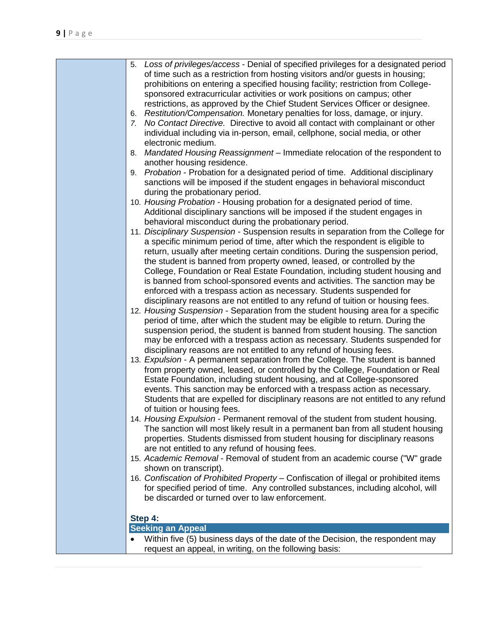| of time such as a restriction from hosting visitors and/or guests in housing;<br>prohibitions on entering a specified housing facility; restriction from College-<br>sponsored extracurricular activities or work positions on campus; other<br>restrictions, as approved by the Chief Student Services Officer or designee.<br>Restitution/Compensation. Monetary penalties for loss, damage, or injury.<br>6.<br>7. No Contact Directive. Directive to avoid all contact with complainant or other<br>individual including via in-person, email, cellphone, social media, or other<br>electronic medium.<br>8. Mandated Housing Reassignment - Immediate relocation of the respondent to<br>another housing residence.<br>Probation - Probation for a designated period of time. Additional disciplinary<br>9.<br>sanctions will be imposed if the student engages in behavioral misconduct<br>during the probationary period.<br>10. Housing Probation - Housing probation for a designated period of time.<br>Additional disciplinary sanctions will be imposed if the student engages in<br>behavioral misconduct during the probationary period.<br>11. Disciplinary Suspension - Suspension results in separation from the College for<br>a specific minimum period of time, after which the respondent is eligible to<br>return, usually after meeting certain conditions. During the suspension period,<br>the student is banned from property owned, leased, or controlled by the<br>College, Foundation or Real Estate Foundation, including student housing and<br>is banned from school-sponsored events and activities. The sanction may be<br>enforced with a trespass action as necessary. Students suspended for<br>disciplinary reasons are not entitled to any refund of tuition or housing fees.<br>12. Housing Suspension - Separation from the student housing area for a specific<br>period of time, after which the student may be eligible to return. During the<br>suspension period, the student is banned from student housing. The sanction<br>may be enforced with a trespass action as necessary. Students suspended for<br>disciplinary reasons are not entitled to any refund of housing fees.<br>13. Expulsion - A permanent separation from the College. The student is banned<br>from property owned, leased, or controlled by the College, Foundation or Real<br>Estate Foundation, including student housing, and at College-sponsored<br>events. This sanction may be enforced with a trespass action as necessary.<br>Students that are expelled for disciplinary reasons are not entitled to any refund<br>of tuition or housing fees.<br>14. Housing Expulsion - Permanent removal of the student from student housing.<br>The sanction will most likely result in a permanent ban from all student housing<br>properties. Students dismissed from student housing for disciplinary reasons<br>are not entitled to any refund of housing fees.<br>15. Academic Removal - Removal of student from an academic course ("W" grade<br>shown on transcript).<br>16. Confiscation of Prohibited Property – Confiscation of illegal or prohibited items<br>for specified period of time. Any controlled substances, including alcohol, will<br>be discarded or turned over to law enforcement.<br>Step 4:<br><b>Seeking an Appeal</b><br>Within five (5) business days of the date of the Decision, the respondent may |                                                                                       |
|-----------------------------------------------------------------------------------------------------------------------------------------------------------------------------------------------------------------------------------------------------------------------------------------------------------------------------------------------------------------------------------------------------------------------------------------------------------------------------------------------------------------------------------------------------------------------------------------------------------------------------------------------------------------------------------------------------------------------------------------------------------------------------------------------------------------------------------------------------------------------------------------------------------------------------------------------------------------------------------------------------------------------------------------------------------------------------------------------------------------------------------------------------------------------------------------------------------------------------------------------------------------------------------------------------------------------------------------------------------------------------------------------------------------------------------------------------------------------------------------------------------------------------------------------------------------------------------------------------------------------------------------------------------------------------------------------------------------------------------------------------------------------------------------------------------------------------------------------------------------------------------------------------------------------------------------------------------------------------------------------------------------------------------------------------------------------------------------------------------------------------------------------------------------------------------------------------------------------------------------------------------------------------------------------------------------------------------------------------------------------------------------------------------------------------------------------------------------------------------------------------------------------------------------------------------------------------------------------------------------------------------------------------------------------------------------------------------------------------------------------------------------------------------------------------------------------------------------------------------------------------------------------------------------------------------------------------------------------------------------------------------------------------------------------------------------------------------------------------------------------------------------------------------------------------------------------------------------------------------------------------------------------------------------------------------------------------------------------------------------------------------------------------------------------------------------------------------|---------------------------------------------------------------------------------------|
|                                                                                                                                                                                                                                                                                                                                                                                                                                                                                                                                                                                                                                                                                                                                                                                                                                                                                                                                                                                                                                                                                                                                                                                                                                                                                                                                                                                                                                                                                                                                                                                                                                                                                                                                                                                                                                                                                                                                                                                                                                                                                                                                                                                                                                                                                                                                                                                                                                                                                                                                                                                                                                                                                                                                                                                                                                                                                                                                                                                                                                                                                                                                                                                                                                                                                                                                                                                                                                                           | 5. Loss of privileges/access - Denial of specified privileges for a designated period |
|                                                                                                                                                                                                                                                                                                                                                                                                                                                                                                                                                                                                                                                                                                                                                                                                                                                                                                                                                                                                                                                                                                                                                                                                                                                                                                                                                                                                                                                                                                                                                                                                                                                                                                                                                                                                                                                                                                                                                                                                                                                                                                                                                                                                                                                                                                                                                                                                                                                                                                                                                                                                                                                                                                                                                                                                                                                                                                                                                                                                                                                                                                                                                                                                                                                                                                                                                                                                                                                           |                                                                                       |
|                                                                                                                                                                                                                                                                                                                                                                                                                                                                                                                                                                                                                                                                                                                                                                                                                                                                                                                                                                                                                                                                                                                                                                                                                                                                                                                                                                                                                                                                                                                                                                                                                                                                                                                                                                                                                                                                                                                                                                                                                                                                                                                                                                                                                                                                                                                                                                                                                                                                                                                                                                                                                                                                                                                                                                                                                                                                                                                                                                                                                                                                                                                                                                                                                                                                                                                                                                                                                                                           |                                                                                       |
|                                                                                                                                                                                                                                                                                                                                                                                                                                                                                                                                                                                                                                                                                                                                                                                                                                                                                                                                                                                                                                                                                                                                                                                                                                                                                                                                                                                                                                                                                                                                                                                                                                                                                                                                                                                                                                                                                                                                                                                                                                                                                                                                                                                                                                                                                                                                                                                                                                                                                                                                                                                                                                                                                                                                                                                                                                                                                                                                                                                                                                                                                                                                                                                                                                                                                                                                                                                                                                                           |                                                                                       |
|                                                                                                                                                                                                                                                                                                                                                                                                                                                                                                                                                                                                                                                                                                                                                                                                                                                                                                                                                                                                                                                                                                                                                                                                                                                                                                                                                                                                                                                                                                                                                                                                                                                                                                                                                                                                                                                                                                                                                                                                                                                                                                                                                                                                                                                                                                                                                                                                                                                                                                                                                                                                                                                                                                                                                                                                                                                                                                                                                                                                                                                                                                                                                                                                                                                                                                                                                                                                                                                           |                                                                                       |
|                                                                                                                                                                                                                                                                                                                                                                                                                                                                                                                                                                                                                                                                                                                                                                                                                                                                                                                                                                                                                                                                                                                                                                                                                                                                                                                                                                                                                                                                                                                                                                                                                                                                                                                                                                                                                                                                                                                                                                                                                                                                                                                                                                                                                                                                                                                                                                                                                                                                                                                                                                                                                                                                                                                                                                                                                                                                                                                                                                                                                                                                                                                                                                                                                                                                                                                                                                                                                                                           |                                                                                       |
|                                                                                                                                                                                                                                                                                                                                                                                                                                                                                                                                                                                                                                                                                                                                                                                                                                                                                                                                                                                                                                                                                                                                                                                                                                                                                                                                                                                                                                                                                                                                                                                                                                                                                                                                                                                                                                                                                                                                                                                                                                                                                                                                                                                                                                                                                                                                                                                                                                                                                                                                                                                                                                                                                                                                                                                                                                                                                                                                                                                                                                                                                                                                                                                                                                                                                                                                                                                                                                                           |                                                                                       |
|                                                                                                                                                                                                                                                                                                                                                                                                                                                                                                                                                                                                                                                                                                                                                                                                                                                                                                                                                                                                                                                                                                                                                                                                                                                                                                                                                                                                                                                                                                                                                                                                                                                                                                                                                                                                                                                                                                                                                                                                                                                                                                                                                                                                                                                                                                                                                                                                                                                                                                                                                                                                                                                                                                                                                                                                                                                                                                                                                                                                                                                                                                                                                                                                                                                                                                                                                                                                                                                           |                                                                                       |
|                                                                                                                                                                                                                                                                                                                                                                                                                                                                                                                                                                                                                                                                                                                                                                                                                                                                                                                                                                                                                                                                                                                                                                                                                                                                                                                                                                                                                                                                                                                                                                                                                                                                                                                                                                                                                                                                                                                                                                                                                                                                                                                                                                                                                                                                                                                                                                                                                                                                                                                                                                                                                                                                                                                                                                                                                                                                                                                                                                                                                                                                                                                                                                                                                                                                                                                                                                                                                                                           |                                                                                       |
|                                                                                                                                                                                                                                                                                                                                                                                                                                                                                                                                                                                                                                                                                                                                                                                                                                                                                                                                                                                                                                                                                                                                                                                                                                                                                                                                                                                                                                                                                                                                                                                                                                                                                                                                                                                                                                                                                                                                                                                                                                                                                                                                                                                                                                                                                                                                                                                                                                                                                                                                                                                                                                                                                                                                                                                                                                                                                                                                                                                                                                                                                                                                                                                                                                                                                                                                                                                                                                                           |                                                                                       |
|                                                                                                                                                                                                                                                                                                                                                                                                                                                                                                                                                                                                                                                                                                                                                                                                                                                                                                                                                                                                                                                                                                                                                                                                                                                                                                                                                                                                                                                                                                                                                                                                                                                                                                                                                                                                                                                                                                                                                                                                                                                                                                                                                                                                                                                                                                                                                                                                                                                                                                                                                                                                                                                                                                                                                                                                                                                                                                                                                                                                                                                                                                                                                                                                                                                                                                                                                                                                                                                           |                                                                                       |
|                                                                                                                                                                                                                                                                                                                                                                                                                                                                                                                                                                                                                                                                                                                                                                                                                                                                                                                                                                                                                                                                                                                                                                                                                                                                                                                                                                                                                                                                                                                                                                                                                                                                                                                                                                                                                                                                                                                                                                                                                                                                                                                                                                                                                                                                                                                                                                                                                                                                                                                                                                                                                                                                                                                                                                                                                                                                                                                                                                                                                                                                                                                                                                                                                                                                                                                                                                                                                                                           |                                                                                       |
|                                                                                                                                                                                                                                                                                                                                                                                                                                                                                                                                                                                                                                                                                                                                                                                                                                                                                                                                                                                                                                                                                                                                                                                                                                                                                                                                                                                                                                                                                                                                                                                                                                                                                                                                                                                                                                                                                                                                                                                                                                                                                                                                                                                                                                                                                                                                                                                                                                                                                                                                                                                                                                                                                                                                                                                                                                                                                                                                                                                                                                                                                                                                                                                                                                                                                                                                                                                                                                                           |                                                                                       |
|                                                                                                                                                                                                                                                                                                                                                                                                                                                                                                                                                                                                                                                                                                                                                                                                                                                                                                                                                                                                                                                                                                                                                                                                                                                                                                                                                                                                                                                                                                                                                                                                                                                                                                                                                                                                                                                                                                                                                                                                                                                                                                                                                                                                                                                                                                                                                                                                                                                                                                                                                                                                                                                                                                                                                                                                                                                                                                                                                                                                                                                                                                                                                                                                                                                                                                                                                                                                                                                           |                                                                                       |
|                                                                                                                                                                                                                                                                                                                                                                                                                                                                                                                                                                                                                                                                                                                                                                                                                                                                                                                                                                                                                                                                                                                                                                                                                                                                                                                                                                                                                                                                                                                                                                                                                                                                                                                                                                                                                                                                                                                                                                                                                                                                                                                                                                                                                                                                                                                                                                                                                                                                                                                                                                                                                                                                                                                                                                                                                                                                                                                                                                                                                                                                                                                                                                                                                                                                                                                                                                                                                                                           |                                                                                       |
|                                                                                                                                                                                                                                                                                                                                                                                                                                                                                                                                                                                                                                                                                                                                                                                                                                                                                                                                                                                                                                                                                                                                                                                                                                                                                                                                                                                                                                                                                                                                                                                                                                                                                                                                                                                                                                                                                                                                                                                                                                                                                                                                                                                                                                                                                                                                                                                                                                                                                                                                                                                                                                                                                                                                                                                                                                                                                                                                                                                                                                                                                                                                                                                                                                                                                                                                                                                                                                                           |                                                                                       |
|                                                                                                                                                                                                                                                                                                                                                                                                                                                                                                                                                                                                                                                                                                                                                                                                                                                                                                                                                                                                                                                                                                                                                                                                                                                                                                                                                                                                                                                                                                                                                                                                                                                                                                                                                                                                                                                                                                                                                                                                                                                                                                                                                                                                                                                                                                                                                                                                                                                                                                                                                                                                                                                                                                                                                                                                                                                                                                                                                                                                                                                                                                                                                                                                                                                                                                                                                                                                                                                           |                                                                                       |
|                                                                                                                                                                                                                                                                                                                                                                                                                                                                                                                                                                                                                                                                                                                                                                                                                                                                                                                                                                                                                                                                                                                                                                                                                                                                                                                                                                                                                                                                                                                                                                                                                                                                                                                                                                                                                                                                                                                                                                                                                                                                                                                                                                                                                                                                                                                                                                                                                                                                                                                                                                                                                                                                                                                                                                                                                                                                                                                                                                                                                                                                                                                                                                                                                                                                                                                                                                                                                                                           |                                                                                       |
|                                                                                                                                                                                                                                                                                                                                                                                                                                                                                                                                                                                                                                                                                                                                                                                                                                                                                                                                                                                                                                                                                                                                                                                                                                                                                                                                                                                                                                                                                                                                                                                                                                                                                                                                                                                                                                                                                                                                                                                                                                                                                                                                                                                                                                                                                                                                                                                                                                                                                                                                                                                                                                                                                                                                                                                                                                                                                                                                                                                                                                                                                                                                                                                                                                                                                                                                                                                                                                                           |                                                                                       |
|                                                                                                                                                                                                                                                                                                                                                                                                                                                                                                                                                                                                                                                                                                                                                                                                                                                                                                                                                                                                                                                                                                                                                                                                                                                                                                                                                                                                                                                                                                                                                                                                                                                                                                                                                                                                                                                                                                                                                                                                                                                                                                                                                                                                                                                                                                                                                                                                                                                                                                                                                                                                                                                                                                                                                                                                                                                                                                                                                                                                                                                                                                                                                                                                                                                                                                                                                                                                                                                           |                                                                                       |
|                                                                                                                                                                                                                                                                                                                                                                                                                                                                                                                                                                                                                                                                                                                                                                                                                                                                                                                                                                                                                                                                                                                                                                                                                                                                                                                                                                                                                                                                                                                                                                                                                                                                                                                                                                                                                                                                                                                                                                                                                                                                                                                                                                                                                                                                                                                                                                                                                                                                                                                                                                                                                                                                                                                                                                                                                                                                                                                                                                                                                                                                                                                                                                                                                                                                                                                                                                                                                                                           |                                                                                       |
|                                                                                                                                                                                                                                                                                                                                                                                                                                                                                                                                                                                                                                                                                                                                                                                                                                                                                                                                                                                                                                                                                                                                                                                                                                                                                                                                                                                                                                                                                                                                                                                                                                                                                                                                                                                                                                                                                                                                                                                                                                                                                                                                                                                                                                                                                                                                                                                                                                                                                                                                                                                                                                                                                                                                                                                                                                                                                                                                                                                                                                                                                                                                                                                                                                                                                                                                                                                                                                                           |                                                                                       |
|                                                                                                                                                                                                                                                                                                                                                                                                                                                                                                                                                                                                                                                                                                                                                                                                                                                                                                                                                                                                                                                                                                                                                                                                                                                                                                                                                                                                                                                                                                                                                                                                                                                                                                                                                                                                                                                                                                                                                                                                                                                                                                                                                                                                                                                                                                                                                                                                                                                                                                                                                                                                                                                                                                                                                                                                                                                                                                                                                                                                                                                                                                                                                                                                                                                                                                                                                                                                                                                           |                                                                                       |
|                                                                                                                                                                                                                                                                                                                                                                                                                                                                                                                                                                                                                                                                                                                                                                                                                                                                                                                                                                                                                                                                                                                                                                                                                                                                                                                                                                                                                                                                                                                                                                                                                                                                                                                                                                                                                                                                                                                                                                                                                                                                                                                                                                                                                                                                                                                                                                                                                                                                                                                                                                                                                                                                                                                                                                                                                                                                                                                                                                                                                                                                                                                                                                                                                                                                                                                                                                                                                                                           |                                                                                       |
|                                                                                                                                                                                                                                                                                                                                                                                                                                                                                                                                                                                                                                                                                                                                                                                                                                                                                                                                                                                                                                                                                                                                                                                                                                                                                                                                                                                                                                                                                                                                                                                                                                                                                                                                                                                                                                                                                                                                                                                                                                                                                                                                                                                                                                                                                                                                                                                                                                                                                                                                                                                                                                                                                                                                                                                                                                                                                                                                                                                                                                                                                                                                                                                                                                                                                                                                                                                                                                                           |                                                                                       |
|                                                                                                                                                                                                                                                                                                                                                                                                                                                                                                                                                                                                                                                                                                                                                                                                                                                                                                                                                                                                                                                                                                                                                                                                                                                                                                                                                                                                                                                                                                                                                                                                                                                                                                                                                                                                                                                                                                                                                                                                                                                                                                                                                                                                                                                                                                                                                                                                                                                                                                                                                                                                                                                                                                                                                                                                                                                                                                                                                                                                                                                                                                                                                                                                                                                                                                                                                                                                                                                           |                                                                                       |
|                                                                                                                                                                                                                                                                                                                                                                                                                                                                                                                                                                                                                                                                                                                                                                                                                                                                                                                                                                                                                                                                                                                                                                                                                                                                                                                                                                                                                                                                                                                                                                                                                                                                                                                                                                                                                                                                                                                                                                                                                                                                                                                                                                                                                                                                                                                                                                                                                                                                                                                                                                                                                                                                                                                                                                                                                                                                                                                                                                                                                                                                                                                                                                                                                                                                                                                                                                                                                                                           |                                                                                       |
|                                                                                                                                                                                                                                                                                                                                                                                                                                                                                                                                                                                                                                                                                                                                                                                                                                                                                                                                                                                                                                                                                                                                                                                                                                                                                                                                                                                                                                                                                                                                                                                                                                                                                                                                                                                                                                                                                                                                                                                                                                                                                                                                                                                                                                                                                                                                                                                                                                                                                                                                                                                                                                                                                                                                                                                                                                                                                                                                                                                                                                                                                                                                                                                                                                                                                                                                                                                                                                                           |                                                                                       |
|                                                                                                                                                                                                                                                                                                                                                                                                                                                                                                                                                                                                                                                                                                                                                                                                                                                                                                                                                                                                                                                                                                                                                                                                                                                                                                                                                                                                                                                                                                                                                                                                                                                                                                                                                                                                                                                                                                                                                                                                                                                                                                                                                                                                                                                                                                                                                                                                                                                                                                                                                                                                                                                                                                                                                                                                                                                                                                                                                                                                                                                                                                                                                                                                                                                                                                                                                                                                                                                           |                                                                                       |
|                                                                                                                                                                                                                                                                                                                                                                                                                                                                                                                                                                                                                                                                                                                                                                                                                                                                                                                                                                                                                                                                                                                                                                                                                                                                                                                                                                                                                                                                                                                                                                                                                                                                                                                                                                                                                                                                                                                                                                                                                                                                                                                                                                                                                                                                                                                                                                                                                                                                                                                                                                                                                                                                                                                                                                                                                                                                                                                                                                                                                                                                                                                                                                                                                                                                                                                                                                                                                                                           |                                                                                       |
|                                                                                                                                                                                                                                                                                                                                                                                                                                                                                                                                                                                                                                                                                                                                                                                                                                                                                                                                                                                                                                                                                                                                                                                                                                                                                                                                                                                                                                                                                                                                                                                                                                                                                                                                                                                                                                                                                                                                                                                                                                                                                                                                                                                                                                                                                                                                                                                                                                                                                                                                                                                                                                                                                                                                                                                                                                                                                                                                                                                                                                                                                                                                                                                                                                                                                                                                                                                                                                                           |                                                                                       |
|                                                                                                                                                                                                                                                                                                                                                                                                                                                                                                                                                                                                                                                                                                                                                                                                                                                                                                                                                                                                                                                                                                                                                                                                                                                                                                                                                                                                                                                                                                                                                                                                                                                                                                                                                                                                                                                                                                                                                                                                                                                                                                                                                                                                                                                                                                                                                                                                                                                                                                                                                                                                                                                                                                                                                                                                                                                                                                                                                                                                                                                                                                                                                                                                                                                                                                                                                                                                                                                           |                                                                                       |
|                                                                                                                                                                                                                                                                                                                                                                                                                                                                                                                                                                                                                                                                                                                                                                                                                                                                                                                                                                                                                                                                                                                                                                                                                                                                                                                                                                                                                                                                                                                                                                                                                                                                                                                                                                                                                                                                                                                                                                                                                                                                                                                                                                                                                                                                                                                                                                                                                                                                                                                                                                                                                                                                                                                                                                                                                                                                                                                                                                                                                                                                                                                                                                                                                                                                                                                                                                                                                                                           |                                                                                       |
|                                                                                                                                                                                                                                                                                                                                                                                                                                                                                                                                                                                                                                                                                                                                                                                                                                                                                                                                                                                                                                                                                                                                                                                                                                                                                                                                                                                                                                                                                                                                                                                                                                                                                                                                                                                                                                                                                                                                                                                                                                                                                                                                                                                                                                                                                                                                                                                                                                                                                                                                                                                                                                                                                                                                                                                                                                                                                                                                                                                                                                                                                                                                                                                                                                                                                                                                                                                                                                                           |                                                                                       |
|                                                                                                                                                                                                                                                                                                                                                                                                                                                                                                                                                                                                                                                                                                                                                                                                                                                                                                                                                                                                                                                                                                                                                                                                                                                                                                                                                                                                                                                                                                                                                                                                                                                                                                                                                                                                                                                                                                                                                                                                                                                                                                                                                                                                                                                                                                                                                                                                                                                                                                                                                                                                                                                                                                                                                                                                                                                                                                                                                                                                                                                                                                                                                                                                                                                                                                                                                                                                                                                           |                                                                                       |
|                                                                                                                                                                                                                                                                                                                                                                                                                                                                                                                                                                                                                                                                                                                                                                                                                                                                                                                                                                                                                                                                                                                                                                                                                                                                                                                                                                                                                                                                                                                                                                                                                                                                                                                                                                                                                                                                                                                                                                                                                                                                                                                                                                                                                                                                                                                                                                                                                                                                                                                                                                                                                                                                                                                                                                                                                                                                                                                                                                                                                                                                                                                                                                                                                                                                                                                                                                                                                                                           |                                                                                       |
|                                                                                                                                                                                                                                                                                                                                                                                                                                                                                                                                                                                                                                                                                                                                                                                                                                                                                                                                                                                                                                                                                                                                                                                                                                                                                                                                                                                                                                                                                                                                                                                                                                                                                                                                                                                                                                                                                                                                                                                                                                                                                                                                                                                                                                                                                                                                                                                                                                                                                                                                                                                                                                                                                                                                                                                                                                                                                                                                                                                                                                                                                                                                                                                                                                                                                                                                                                                                                                                           |                                                                                       |
|                                                                                                                                                                                                                                                                                                                                                                                                                                                                                                                                                                                                                                                                                                                                                                                                                                                                                                                                                                                                                                                                                                                                                                                                                                                                                                                                                                                                                                                                                                                                                                                                                                                                                                                                                                                                                                                                                                                                                                                                                                                                                                                                                                                                                                                                                                                                                                                                                                                                                                                                                                                                                                                                                                                                                                                                                                                                                                                                                                                                                                                                                                                                                                                                                                                                                                                                                                                                                                                           |                                                                                       |
|                                                                                                                                                                                                                                                                                                                                                                                                                                                                                                                                                                                                                                                                                                                                                                                                                                                                                                                                                                                                                                                                                                                                                                                                                                                                                                                                                                                                                                                                                                                                                                                                                                                                                                                                                                                                                                                                                                                                                                                                                                                                                                                                                                                                                                                                                                                                                                                                                                                                                                                                                                                                                                                                                                                                                                                                                                                                                                                                                                                                                                                                                                                                                                                                                                                                                                                                                                                                                                                           | request an appeal, in writing, on the following basis:                                |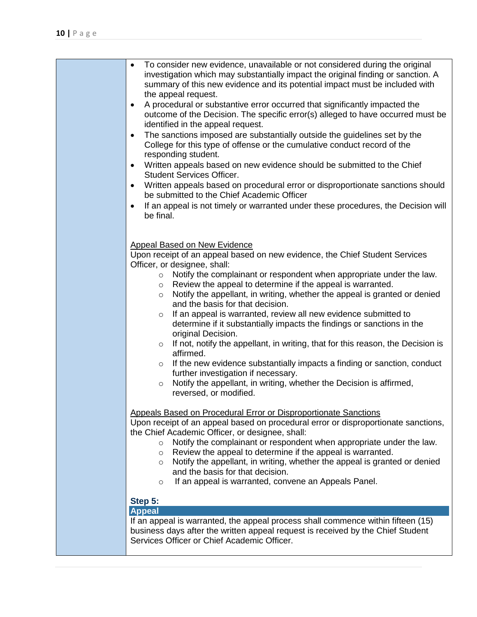| To consider new evidence, unavailable or not considered during the original<br>$\bullet$<br>investigation which may substantially impact the original finding or sanction. A<br>summary of this new evidence and its potential impact must be included with<br>the appeal request.<br>A procedural or substantive error occurred that significantly impacted the<br>$\bullet$<br>outcome of the Decision. The specific error(s) alleged to have occurred must be<br>identified in the appeal request.<br>The sanctions imposed are substantially outside the guidelines set by the<br>$\bullet$<br>College for this type of offense or the cumulative conduct record of the<br>responding student.<br>Written appeals based on new evidence should be submitted to the Chief<br>$\bullet$<br><b>Student Services Officer.</b><br>Written appeals based on procedural error or disproportionate sanctions should<br>$\bullet$<br>be submitted to the Chief Academic Officer<br>If an appeal is not timely or warranted under these procedures, the Decision will<br>$\bullet$<br>be final. |
|-------------------------------------------------------------------------------------------------------------------------------------------------------------------------------------------------------------------------------------------------------------------------------------------------------------------------------------------------------------------------------------------------------------------------------------------------------------------------------------------------------------------------------------------------------------------------------------------------------------------------------------------------------------------------------------------------------------------------------------------------------------------------------------------------------------------------------------------------------------------------------------------------------------------------------------------------------------------------------------------------------------------------------------------------------------------------------------------|
| <b>Appeal Based on New Evidence</b><br>Upon receipt of an appeal based on new evidence, the Chief Student Services<br>Officer, or designee, shall:<br>Notify the complainant or respondent when appropriate under the law.<br>$\circ$<br>Review the appeal to determine if the appeal is warranted.<br>$\circ$<br>Notify the appellant, in writing, whether the appeal is granted or denied<br>$\circ$<br>and the basis for that decision.<br>If an appeal is warranted, review all new evidence submitted to<br>$\circ$<br>determine if it substantially impacts the findings or sanctions in the<br>original Decision.<br>If not, notify the appellant, in writing, that for this reason, the Decision is<br>$\circ$<br>affirmed.<br>If the new evidence substantially impacts a finding or sanction, conduct<br>$\circ$<br>further investigation if necessary.<br>Notify the appellant, in writing, whether the Decision is affirmed,<br>$\circ$<br>reversed, or modified.                                                                                                             |
| Appeals Based on Procedural Error or Disproportionate Sanctions<br>Upon receipt of an appeal based on procedural error or disproportionate sanctions,<br>the Chief Academic Officer, or designee, shall:<br>Notify the complainant or respondent when appropriate under the law.<br>$\circ$<br>Review the appeal to determine if the appeal is warranted.<br>$\circ$<br>Notify the appellant, in writing, whether the appeal is granted or denied<br>$\circ$<br>and the basis for that decision.<br>If an appeal is warranted, convene an Appeals Panel.<br>$\circ$                                                                                                                                                                                                                                                                                                                                                                                                                                                                                                                       |
| Step 5:<br><b>Appeal</b><br>If an appeal is warranted, the appeal process shall commence within fifteen (15)<br>business days after the written appeal request is received by the Chief Student                                                                                                                                                                                                                                                                                                                                                                                                                                                                                                                                                                                                                                                                                                                                                                                                                                                                                           |
| Services Officer or Chief Academic Officer.                                                                                                                                                                                                                                                                                                                                                                                                                                                                                                                                                                                                                                                                                                                                                                                                                                                                                                                                                                                                                                               |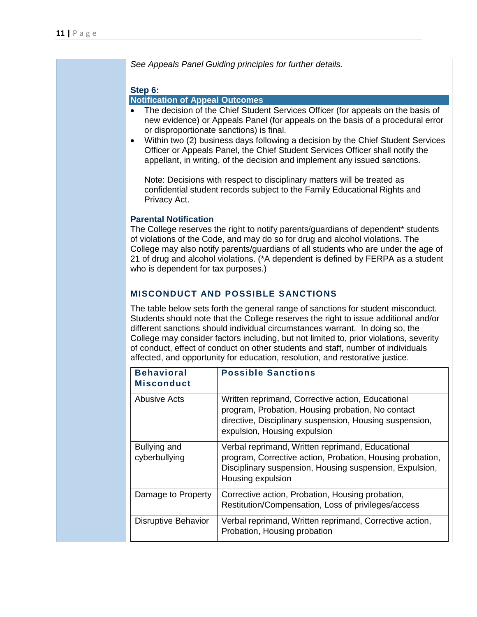*See Appeals Panel Guiding principles for further details.*

#### **Step 6:**

#### **Notification of Appeal Outcomes**

- The decision of the Chief Student Services Officer (for appeals on the basis of new evidence) or Appeals Panel (for appeals on the basis of a procedural error or disproportionate sanctions) is final.
- Within two (2) business days following a decision by the Chief Student Services Officer or Appeals Panel, the Chief Student Services Officer shall notify the appellant, in writing, of the decision and implement any issued sanctions.

Note: Decisions with respect to disciplinary matters will be treated as confidential student records subject to the Family Educational Rights and Privacy Act.

#### **Parental Notification**

The College reserves the right to notify parents/guardians of dependent\* students of violations of the Code, and may do so for drug and alcohol violations. The College may also notify parents/guardians of all students who are under the age of 21 of drug and alcohol violations. (\*A dependent is defined by FERPA as a student who is dependent for tax purposes.)

# **MISCONDUCT AND POSSIBLE SANCTIONS**

The table below sets forth the general range of sanctions for student misconduct. Students should note that the College reserves the right to issue additional and/or different sanctions should individual circumstances warrant. In doing so, the College may consider factors including, but not limited to, prior violations, severity of conduct, effect of conduct on other students and staff, number of individuals affected, and opportunity for education, resolution, and restorative justice.

| <b>Behavioral</b><br><b>Misconduct</b> | <b>Possible Sanctions</b>                                                                                                                                                                         |
|----------------------------------------|---------------------------------------------------------------------------------------------------------------------------------------------------------------------------------------------------|
| Abusive Acts                           | Written reprimand, Corrective action, Educational<br>program, Probation, Housing probation, No contact<br>directive, Disciplinary suspension, Housing suspension,<br>expulsion, Housing expulsion |
| Bullying and<br>cyberbullying          | Verbal reprimand, Written reprimand, Educational<br>program, Corrective action, Probation, Housing probation,<br>Disciplinary suspension, Housing suspension, Expulsion,<br>Housing expulsion     |
| Damage to Property                     | Corrective action, Probation, Housing probation,<br>Restitution/Compensation, Loss of privileges/access                                                                                           |
| <b>Disruptive Behavior</b>             | Verbal reprimand, Written reprimand, Corrective action,<br>Probation, Housing probation                                                                                                           |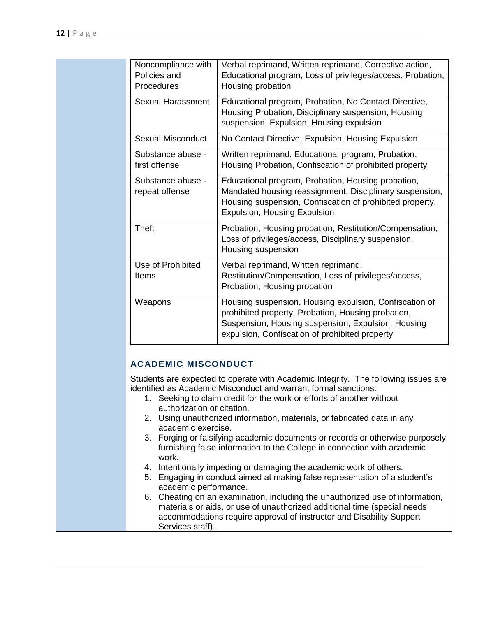| Noncompliance with<br>Policies and<br>Procedures | Verbal reprimand, Written reprimand, Corrective action,<br>Educational program, Loss of privileges/access, Probation,<br>Housing probation                                                                           |
|--------------------------------------------------|----------------------------------------------------------------------------------------------------------------------------------------------------------------------------------------------------------------------|
| <b>Sexual Harassment</b>                         | Educational program, Probation, No Contact Directive,<br>Housing Probation, Disciplinary suspension, Housing<br>suspension, Expulsion, Housing expulsion                                                             |
| <b>Sexual Misconduct</b>                         | No Contact Directive, Expulsion, Housing Expulsion                                                                                                                                                                   |
| Substance abuse -<br>first offense               | Written reprimand, Educational program, Probation,<br>Housing Probation, Confiscation of prohibited property                                                                                                         |
| Substance abuse -<br>repeat offense              | Educational program, Probation, Housing probation,<br>Mandated housing reassignment, Disciplinary suspension,<br>Housing suspension, Confiscation of prohibited property,<br><b>Expulsion, Housing Expulsion</b>     |
| <b>Theft</b>                                     | Probation, Housing probation, Restitution/Compensation,<br>Loss of privileges/access, Disciplinary suspension,<br>Housing suspension                                                                                 |
| Use of Prohibited<br>Items                       | Verbal reprimand, Written reprimand,<br>Restitution/Compensation, Loss of privileges/access,<br>Probation, Housing probation                                                                                         |
| Weapons                                          | Housing suspension, Housing expulsion, Confiscation of<br>prohibited property, Probation, Housing probation,<br>Suspension, Housing suspension, Expulsion, Housing<br>expulsion, Confiscation of prohibited property |

Students are expected to operate with Academic Integrity. The following issues are identified as Academic Misconduct and warrant formal sanctions:

- 1. Seeking to claim credit for the work or efforts of another without authorization or citation.
- 2. Using unauthorized information, materials, or fabricated data in any academic exercise.
- 3. Forging or falsifying academic documents or records or otherwise purposely furnishing false information to the College in connection with academic work.
- 4. Intentionally impeding or damaging the academic work of others.
- 5. Engaging in conduct aimed at making false representation of a student's academic performance.
- 6. Cheating on an examination, including the unauthorized use of information, materials or aids, or use of unauthorized additional time (special needs accommodations require approval of instructor and Disability Support Services staff).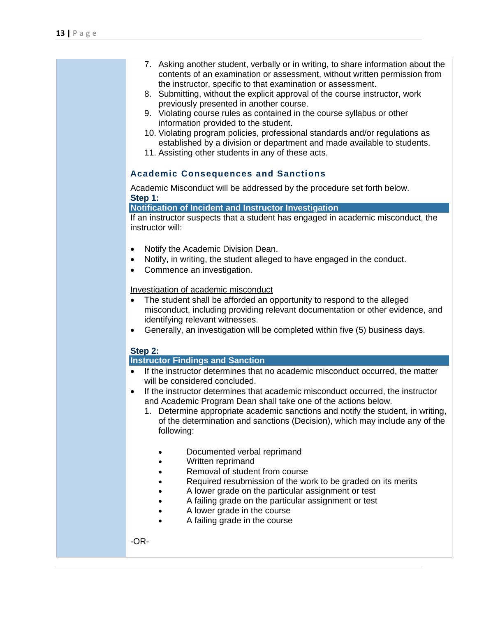| 7. Asking another student, verbally or in writing, to share information about the<br>contents of an examination or assessment, without written permission from<br>the instructor, specific to that examination or assessment.<br>8. Submitting, without the explicit approval of the course instructor, work<br>previously presented in another course.<br>9. Violating course rules as contained in the course syllabus or other<br>information provided to the student.<br>10. Violating program policies, professional standards and/or regulations as<br>established by a division or department and made available to students.<br>11. Assisting other students in any of these acts. |
|--------------------------------------------------------------------------------------------------------------------------------------------------------------------------------------------------------------------------------------------------------------------------------------------------------------------------------------------------------------------------------------------------------------------------------------------------------------------------------------------------------------------------------------------------------------------------------------------------------------------------------------------------------------------------------------------|
| <b>Academic Consequences and Sanctions</b>                                                                                                                                                                                                                                                                                                                                                                                                                                                                                                                                                                                                                                                 |
| Academic Misconduct will be addressed by the procedure set forth below.<br>Step 1:                                                                                                                                                                                                                                                                                                                                                                                                                                                                                                                                                                                                         |
|                                                                                                                                                                                                                                                                                                                                                                                                                                                                                                                                                                                                                                                                                            |
| Notification of Incident and Instructor Investigation<br>If an instructor suspects that a student has engaged in academic misconduct, the<br>instructor will:                                                                                                                                                                                                                                                                                                                                                                                                                                                                                                                              |
| Notify the Academic Division Dean.<br>Notify, in writing, the student alleged to have engaged in the conduct.<br>Commence an investigation.                                                                                                                                                                                                                                                                                                                                                                                                                                                                                                                                                |
| Investigation of academic misconduct<br>The student shall be afforded an opportunity to respond to the alleged<br>٠<br>misconduct, including providing relevant documentation or other evidence, and<br>identifying relevant witnesses.<br>Generally, an investigation will be completed within five (5) business days.<br>$\bullet$                                                                                                                                                                                                                                                                                                                                                       |
| Step 2:                                                                                                                                                                                                                                                                                                                                                                                                                                                                                                                                                                                                                                                                                    |
| <b>Instructor Findings and Sanction</b>                                                                                                                                                                                                                                                                                                                                                                                                                                                                                                                                                                                                                                                    |
| If the instructor determines that no academic misconduct occurred, the matter<br>$\bullet$<br>will be considered concluded.                                                                                                                                                                                                                                                                                                                                                                                                                                                                                                                                                                |
| If the instructor determines that academic misconduct occurred, the instructor<br>and Academic Program Dean shall take one of the actions below.<br>1. Determine appropriate academic sanctions and notify the student, in writing,<br>of the determination and sanctions (Decision), which may include any of the<br>following:                                                                                                                                                                                                                                                                                                                                                           |
| Documented verbal reprimand<br>Written reprimand<br>Removal of student from course<br>Required resubmission of the work to be graded on its merits<br>A lower grade on the particular assignment or test<br>A failing grade on the particular assignment or test<br>A lower grade in the course<br>A failing grade in the course                                                                                                                                                                                                                                                                                                                                                           |
| -OR-                                                                                                                                                                                                                                                                                                                                                                                                                                                                                                                                                                                                                                                                                       |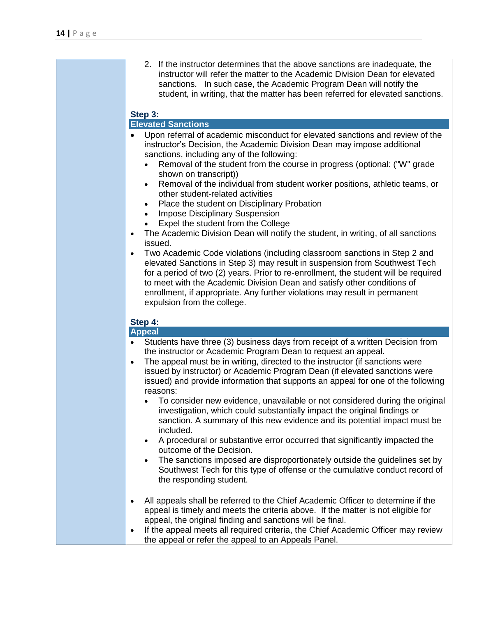| 2. If the instructor determines that the above sanctions are inadequate, the<br>instructor will refer the matter to the Academic Division Dean for elevated<br>sanctions. In such case, the Academic Program Dean will notify the<br>student, in writing, that the matter has been referred for elevated sanctions.                                                                                                                                                                                                                                                                                                                                                                                                                                                                                                                                                                                                                                                                                                                                                                                                                          |
|----------------------------------------------------------------------------------------------------------------------------------------------------------------------------------------------------------------------------------------------------------------------------------------------------------------------------------------------------------------------------------------------------------------------------------------------------------------------------------------------------------------------------------------------------------------------------------------------------------------------------------------------------------------------------------------------------------------------------------------------------------------------------------------------------------------------------------------------------------------------------------------------------------------------------------------------------------------------------------------------------------------------------------------------------------------------------------------------------------------------------------------------|
| Step 3:                                                                                                                                                                                                                                                                                                                                                                                                                                                                                                                                                                                                                                                                                                                                                                                                                                                                                                                                                                                                                                                                                                                                      |
| <b>Elevated Sanctions</b>                                                                                                                                                                                                                                                                                                                                                                                                                                                                                                                                                                                                                                                                                                                                                                                                                                                                                                                                                                                                                                                                                                                    |
| Upon referral of academic misconduct for elevated sanctions and review of the<br>$\bullet$<br>instructor's Decision, the Academic Division Dean may impose additional<br>sanctions, including any of the following:<br>Removal of the student from the course in progress (optional: ("W" grade<br>shown on transcript))<br>Removal of the individual from student worker positions, athletic teams, or<br>other student-related activities<br>Place the student on Disciplinary Probation<br><b>Impose Disciplinary Suspension</b><br>Expel the student from the College<br>The Academic Division Dean will notify the student, in writing, of all sanctions<br>$\bullet$<br>issued.<br>Two Academic Code violations (including classroom sanctions in Step 2 and<br>$\bullet$<br>elevated Sanctions in Step 3) may result in suspension from Southwest Tech<br>for a period of two (2) years. Prior to re-enrollment, the student will be required<br>to meet with the Academic Division Dean and satisfy other conditions of<br>enrollment, if appropriate. Any further violations may result in permanent<br>expulsion from the college. |
| Step 4:                                                                                                                                                                                                                                                                                                                                                                                                                                                                                                                                                                                                                                                                                                                                                                                                                                                                                                                                                                                                                                                                                                                                      |
| <b>Appeal</b>                                                                                                                                                                                                                                                                                                                                                                                                                                                                                                                                                                                                                                                                                                                                                                                                                                                                                                                                                                                                                                                                                                                                |
| Students have three (3) business days from receipt of a written Decision from                                                                                                                                                                                                                                                                                                                                                                                                                                                                                                                                                                                                                                                                                                                                                                                                                                                                                                                                                                                                                                                                |
| the instructor or Academic Program Dean to request an appeal.                                                                                                                                                                                                                                                                                                                                                                                                                                                                                                                                                                                                                                                                                                                                                                                                                                                                                                                                                                                                                                                                                |
| The appeal must be in writing, directed to the instructor (if sanctions were<br>$\bullet$<br>issued by instructor) or Academic Program Dean (if elevated sanctions were<br>issued) and provide information that supports an appeal for one of the following<br>reasons:<br>To consider new evidence, unavailable or not considered during the original<br>investigation, which could substantially impact the original findings or<br>sanction. A summary of this new evidence and its potential impact must be<br>included.<br>A procedural or substantive error occurred that significantly impacted the<br>outcome of the Decision.<br>The sanctions imposed are disproportionately outside the guidelines set by<br>Southwest Tech for this type of offense or the cumulative conduct record of<br>the responding student.                                                                                                                                                                                                                                                                                                               |
| All appeals shall be referred to the Chief Academic Officer to determine if the<br>appeal is timely and meets the criteria above. If the matter is not eligible for<br>appeal, the original finding and sanctions will be final.<br>If the appeal meets all required criteria, the Chief Academic Officer may review<br>the appeal or refer the appeal to an Appeals Panel.                                                                                                                                                                                                                                                                                                                                                                                                                                                                                                                                                                                                                                                                                                                                                                  |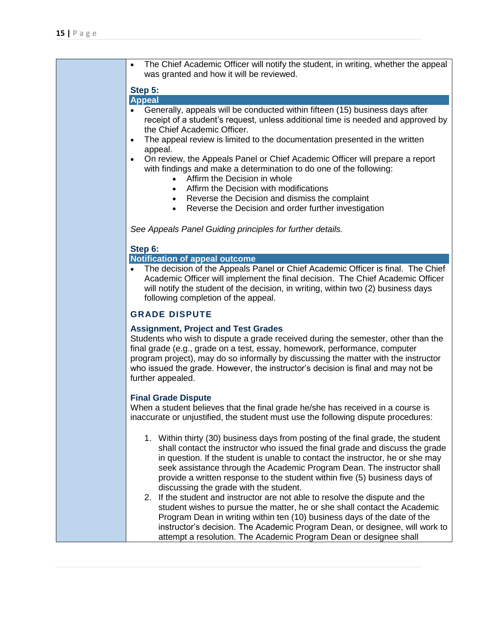• The Chief Academic Officer will notify the student, in writing, whether the appeal was granted and how it will be reviewed. **Step 5: Appeal**  • Generally, appeals will be conducted within fifteen (15) business days after receipt of a student's request, unless additional time is needed and approved by the Chief Academic Officer. The appeal review is limited to the documentation presented in the written appeal. • On review, the Appeals Panel or Chief Academic Officer will prepare a report with findings and make a determination to do one of the following: • Affirm the Decision in whole • Affirm the Decision with modifications • Reverse the Decision and dismiss the complaint • Reverse the Decision and order further investigation *See Appeals Panel Guiding principles for further details.* **Step 6: Notification of appeal outcome** • The decision of the Appeals Panel or Chief Academic Officer is final. The Chief Academic Officer will implement the final decision. The Chief Academic Officer will notify the student of the decision, in writing, within two (2) business days following completion of the appeal. **GRADE DISPUTE Assignment, Project and Test Grades** Students who wish to dispute a grade received during the semester, other than the final grade (e.g., grade on a test, essay, homework, performance, computer program project), may do so informally by discussing the matter with the instructor who issued the grade. However, the instructor's decision is final and may not be further appealed. **Final Grade Dispute** When a student believes that the final grade he/she has received in a course is inaccurate or unjustified, the student must use the following dispute procedures: 1. Within thirty (30) business days from posting of the final grade, the student shall contact the instructor who issued the final grade and discuss the grade in question. If the student is unable to contact the instructor, he or she may seek assistance through the Academic Program Dean. The instructor shall provide a written response to the student within five (5) business days of discussing the grade with the student. 2. If the student and instructor are not able to resolve the dispute and the student wishes to pursue the matter, he or she shall contact the Academic Program Dean in writing within ten (10) business days of the date of the instructor's decision. The Academic Program Dean, or designee, will work to attempt a resolution. The Academic Program Dean or designee shall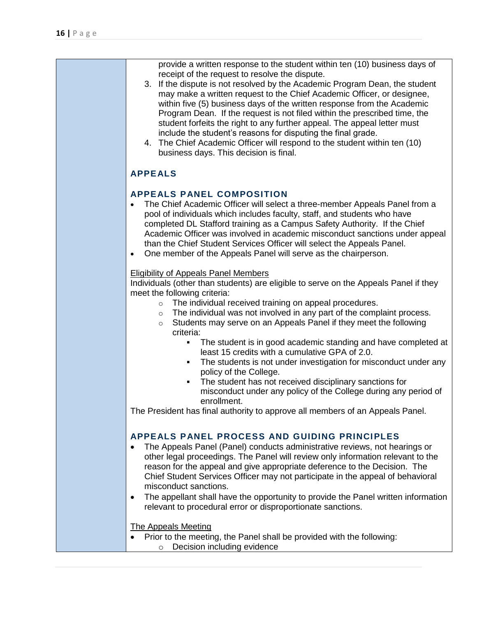| provide a written response to the student within ten (10) business days of<br>receipt of the request to resolve the dispute.<br>3. If the dispute is not resolved by the Academic Program Dean, the student<br>may make a written request to the Chief Academic Officer, or designee,<br>within five (5) business days of the written response from the Academic<br>Program Dean. If the request is not filed within the prescribed time, the<br>student forfeits the right to any further appeal. The appeal letter must<br>include the student's reasons for disputing the final grade.<br>4. The Chief Academic Officer will respond to the student within ten (10)<br>business days. This decision is final. |
|------------------------------------------------------------------------------------------------------------------------------------------------------------------------------------------------------------------------------------------------------------------------------------------------------------------------------------------------------------------------------------------------------------------------------------------------------------------------------------------------------------------------------------------------------------------------------------------------------------------------------------------------------------------------------------------------------------------|
| <b>APPEALS</b>                                                                                                                                                                                                                                                                                                                                                                                                                                                                                                                                                                                                                                                                                                   |
| <b>APPEALS PANEL COMPOSITION</b><br>The Chief Academic Officer will select a three-member Appeals Panel from a<br>pool of individuals which includes faculty, staff, and students who have<br>completed DL Stafford training as a Campus Safety Authority. If the Chief<br>Academic Officer was involved in academic misconduct sanctions under appeal<br>than the Chief Student Services Officer will select the Appeals Panel.<br>One member of the Appeals Panel will serve as the chairperson.<br>$\bullet$                                                                                                                                                                                                  |
| <b>Eligibility of Appeals Panel Members</b><br>Individuals (other than students) are eligible to serve on the Appeals Panel if they<br>meet the following criteria:<br>The individual received training on appeal procedures.<br>$\circ$<br>The individual was not involved in any part of the complaint process.<br>$\circ$<br>Students may serve on an Appeals Panel if they meet the following<br>$\circ$<br>criteria:                                                                                                                                                                                                                                                                                        |
| The student is in good academic standing and have completed at<br>least 15 credits with a cumulative GPA of 2.0.<br>The students is not under investigation for misconduct under any<br>٠<br>policy of the College.<br>The student has not received disciplinary sanctions for<br>٠<br>misconduct under any policy of the College during any period of<br>enrollment.<br>The President has final authority to approve all members of an Appeals Panel.                                                                                                                                                                                                                                                           |
| APPEALS PANEL PROCESS AND GUIDING PRINCIPLES<br>The Appeals Panel (Panel) conducts administrative reviews, not hearings or<br>other legal proceedings. The Panel will review only information relevant to the<br>reason for the appeal and give appropriate deference to the Decision. The<br>Chief Student Services Officer may not participate in the appeal of behavioral<br>misconduct sanctions.<br>The appellant shall have the opportunity to provide the Panel written information<br>$\bullet$<br>relevant to procedural error or disproportionate sanctions.                                                                                                                                           |
| <b>The Appeals Meeting</b><br>Prior to the meeting, the Panel shall be provided with the following:<br>Decision including evidence<br>$\circ$                                                                                                                                                                                                                                                                                                                                                                                                                                                                                                                                                                    |